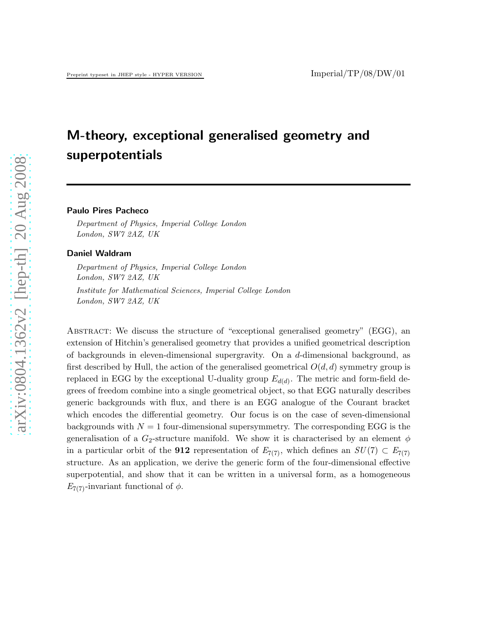# M-theory, exceptional generalised geometry and superpotentials

#### Paulo Pires Pacheco

Department of Physics, Imperial College London London, SW7 2AZ, UK

#### Daniel Waldram

Department of Physics, Imperial College London London, SW7 2AZ, UK

Institute for Mathematical Sciences, Imperial College London London, SW7 2AZ, UK

Abstract: We discuss the structure of "exceptional generalised geometry" (EGG), an extension of Hitchin's generalised geometry that provides a unified geometrical description of backgrounds in eleven-dimensional supergravity. On a  $d$ -dimensional background, as first described by Hull, the action of the generalised geometrical  $O(d, d)$  symmetry group is replaced in EGG by the exceptional U-duality group  $E_{d(d)}$ . The metric and form-field degrees of freedom combine into a single geometrical object, so that EGG naturally describes generic backgrounds with flux, and there is an EGG analogue of the Courant bracket which encodes the differential geometry. Our focus is on the case of seven-dimensional backgrounds with  $N = 1$  four-dimensional supersymmetry. The corresponding EGG is the generalisation of a  $G_2$ -structure manifold. We show it is characterised by an element  $\phi$ in a particular orbit of the **912** representation of  $E_{7(7)}$ , which defines an  $SU(7) \subset E_{7(7)}$ structure. As an application, we derive the generic form of the four-dimensional effective superpotential, and show that it can be written in a universal form, as a homogeneous  $E_{7(7)}$ -invariant functional of  $\phi$ .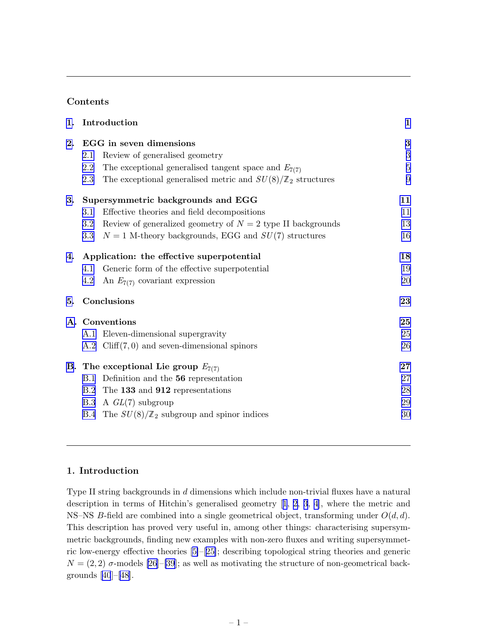# Contents

| 1. | Introduction                                                                  |            |  |
|----|-------------------------------------------------------------------------------|------------|--|
| 2. | EGG in seven dimensions                                                       |            |  |
|    | Review of generalised geometry<br>2.1                                         | $\sqrt{3}$ |  |
|    | The exceptional generalised tangent space and $E_{7(7)}$<br>2.2               | $\bf 5$    |  |
|    | The exceptional generalised metric and $SU(8)/\mathbb{Z}_2$ structures<br>2.3 | 9          |  |
| 3. | Supersymmetric backgrounds and EGG                                            |            |  |
|    | Effective theories and field decompositions<br>3.1                            | 11         |  |
|    | Review of generalized geometry of $N = 2$ type II backgrounds<br>$3.2\,$      | 13         |  |
|    | $N = 1$ M-theory backgrounds, EGG and $SU(7)$ structures<br>3.3               | 16         |  |
|    | 4. Application: the effective superpotential                                  |            |  |
|    | Generic form of the effective superpotential<br>4.1                           | 19         |  |
|    | An $E_{7(7)}$ covariant expression<br>4.2                                     | 20         |  |
| 5. | Conclusions                                                                   |            |  |
|    | A. Conventions                                                                | 25         |  |
|    | A.1 Eleven-dimensional supergravity                                           | 25         |  |
|    | A.2 Cliff $(7,0)$ and seven-dimensional spinors                               | 26         |  |
|    | <b>B.</b> The exceptional Lie group $E_{7(7)}$                                |            |  |
|    | B.1 Definition and the 56 representation                                      | 27         |  |
|    | B.2 The 133 and 912 representations                                           | 28         |  |
|    | A $GL(7)$ subgroup<br>B.3                                                     | 29         |  |
|    | B.4 The $SU(8)/\mathbb{Z}_2$ subgroup and spinor indices                      | 30         |  |
|    |                                                                               |            |  |

## 1. Introduction

Type II string backgrounds in d dimensions which include non-trivial fluxes have a natural description in terms of Hitchin's generalised geometry[[1](#page-32-0), [2](#page-32-0), [3](#page-32-0), [4\]](#page-32-0), where the metric and NS–NS B-field are combined into a single geometrical object, transforming under  $O(d, d)$ . This description has proved very useful in, among other things: characterising supersymmetric backgrounds, finding new examples with non-zero fluxes and writing supersymmetric low-energy effective theories [\[5\]](#page-32-0)–[[25\]](#page-33-0); describing topological string theories and generic  $N = (2, 2)$   $\sigma$ -models [\[26\]](#page-33-0)–[\[39](#page-34-0)]; as well as motivating the structure of non-geometrical backgrounds[[40](#page-34-0)]–[\[48](#page-34-0)].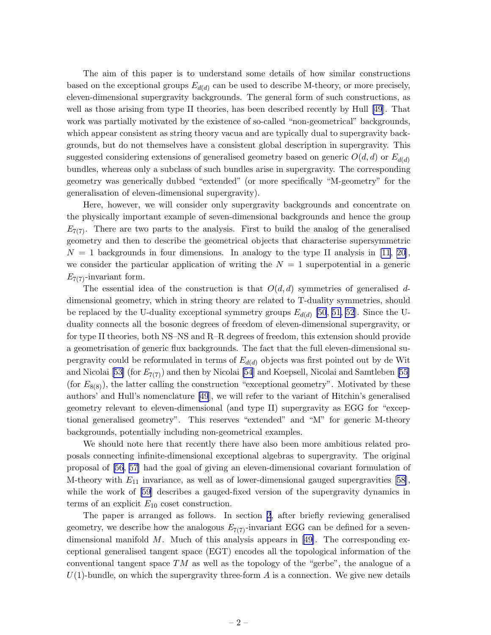The aim of this paper is to understand some details of how similar constructions based on the exceptional groups  $E_{d(d)}$  can be used to describe M-theory, or more precisely, eleven-dimensional supergravity backgrounds. The general form of such constructions, as well as those arising from type II theories, has been described recently by Hull [\[49](#page-34-0)]. That work was partially motivated by the existence of so-called "non-geometrical" backgrounds, which appear consistent as string theory vacua and are typically dual to supergravity backgrounds, but do not themselves have a consistent global description in supergravity. This suggested considering extensions of generalised geometry based on generic  $O(d, d)$  or  $E_{d(d)}$ bundles, whereas only a subclass of such bundles arise in supergravity. The corresponding geometry was generically dubbed "extended" (or more specifically "M-geometry" for the generalisation of eleven-dimensional supergravity).

Here, however, we will consider only supergravity backgrounds and concentrate on the physically important example of seven-dimensional backgrounds and hence the group  $E_{7(7)}$ . There are two parts to the analysis. First to build the analog of the generalised geometry and then to describe the geometrical objects that characterise supersymmetric  $N = 1$  backgrounds in four dimensions. In analogy to the type II analysis in [\[11](#page-32-0), [20\]](#page-33-0), we consider the particular application of writing the  $N = 1$  superpotential in a generic  $E_{7(7)}$ -invariant form.

The essential idea of the construction is that  $O(d, d)$  symmetries of generalised ddimensional geometry, which in string theory are related to T-duality symmetries, should be replaced by the U-duality exceptional symmetry groups  $E_{d(d)}$  [\[50](#page-34-0), [51, 52](#page-34-0)]. Since the Uduality connects all the bosonic degrees of freedom of eleven-dimensional supergravity, or for type II theories, both NS–NS and R–R degrees of freedom, this extension should provide a geometrisation of generic flux backgrounds. The fact that the full eleven-dimensional supergravity could be reformulated in terms of  $E_{d(d)}$  objects was first pointed out by de Wit and Nicolai [\[53\]](#page-34-0) (for  $E_{7(7)}$ ) and then by Nicolai [\[54](#page-34-0)] and Koepsell, Nicolai and Samtleben [\[55\]](#page-34-0) (for  $E_{8(8)}$ ), the latter calling the construction "exceptional geometry". Motivated by these authors' and Hull's nomenclature [\[49](#page-34-0)], we will refer to the variant of Hitchin's generalised geometry relevant to eleven-dimensional (and type II) supergravity as EGG for "exceptional generalised geometry". This reserves "extended" and "M" for generic M-theory backgrounds, potentially including non-geometrical examples.

We should note here that recently there have also been more ambitious related proposals connecting infinite-dimensional exceptional algebras to supergravity. The original proposal of [\[56](#page-34-0), [57](#page-34-0)] had the goal of giving an eleven-dimensional covariant formulation of M-theorywith  $E_{11}$  invariance, as well as of lower-dimensional gauged supergravities [[58\]](#page-35-0), while the work of [\[59](#page-35-0)] describes a gauged-fixed version of the supergravity dynamics in terms of an explicit  $E_{10}$  coset construction.

The paper is arranged as follows. In section [2](#page-3-0), after briefly reviewing generalised geometry, we describe how the analogous  $E_{7(7)}$ -invariant EGG can be defined for a seven-dimensional manifold M. Much of this analysis appears in [\[49\]](#page-34-0). The corresponding exceptional generalised tangent space (EGT) encodes all the topological information of the conventional tangent space  $TM$  as well as the topology of the "gerbe", the analogue of a  $U(1)$ -bundle, on which the supergravity three-form A is a connection. We give new details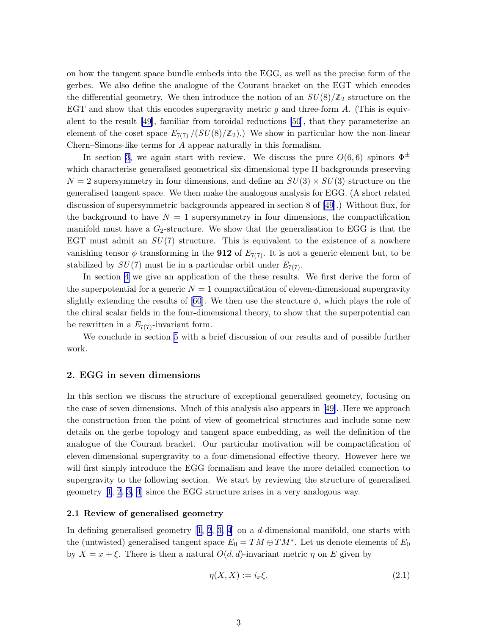<span id="page-3-0"></span>on how the tangent space bundle embeds into the EGG, as well as the precise form of the gerbes. We also define the analogue of the Courant bracket on the EGT which encodes the differential geometry. We then introduce the notion of an  $SU(8)/\mathbb{Z}_2$  structure on the EGT and show that this encodes supergravity metric  $g$  and three-form  $A$ . (This is equivalent to the result [\[49](#page-34-0)], familiar from toroidal reductions [\[50](#page-34-0)], that they parameterize an element of the coset space  $E_{7(7)}/(SU(8)/\mathbb{Z}_2)$ .) We show in particular how the non-linear Chern–Simons-like terms for A appear naturally in this formalism.

In section [3,](#page-11-0) we again start with review. We discuss the pure  $O(6,6)$  spinors  $\Phi^{\pm}$ which characterise generalised geometrical six-dimensional type II backgrounds preserving  $N = 2$  supersymmetry in four dimensions, and define an  $SU(3) \times SU(3)$  structure on the generalised tangent space. We then make the analogous analysis for EGG. (A short related discussion of supersymmetric backgrounds appeared in section 8 of [\[49](#page-34-0)].) Without flux, for the background to have  $N = 1$  supersymmetry in four dimensions, the compactification manifold must have a  $G_2$ -structure. We show that the generalisation to EGG is that the EGT must admit an  $SU(7)$  structure. This is equivalent to the existence of a nowhere vanishing tensor  $\phi$  transforming in the **912** of  $E_{7(7)}$ . It is not a generic element but, to be stabilized by  $SU(7)$  must lie in a particular orbit under  $E_{7(7)}$ .

In section [4](#page-18-0) we give an application of the these results. We first derive the form of the superpotential for a generic  $N = 1$  compactification of eleven-dimensional supergravity slightlyextending the results of [[60](#page-35-0)]. We then use the structure  $\phi$ , which plays the role of the chiral scalar fields in the four-dimensional theory, to show that the superpotential can be rewritten in a  $E_{7(7)}$ -invariant form.

We conclude in section [5](#page-23-0) with a brief discussion of our results and of possible further work.

#### 2. EGG in seven dimensions

In this section we discuss the structure of exceptional generalised geometry, focusing on the case of seven dimensions. Much of this analysis also appears in[[49\]](#page-34-0). Here we approach the construction from the point of view of geometrical structures and include some new details on the gerbe topology and tangent space embedding, as well the definition of the analogue of the Courant bracket. Our particular motivation will be compactification of eleven-dimensional supergravity to a four-dimensional effective theory. However here we will first simply introduce the EGG formalism and leave the more detailed connection to supergravity to the following section. We start by reviewing the structure of generalised geometry[[1](#page-32-0), [2](#page-32-0), [3, 4\]](#page-32-0) since the EGG structure arises in a very analogous way.

#### 2.1 Review of generalised geometry

In defining generalised geometry [\[1, 2](#page-32-0), [3, 4](#page-32-0)] on a d-dimensional manifold, one starts with the (untwisted) generalised tangent space  $E_0 = TM \oplus TM^*$ . Let us denote elements of  $E_0$ by  $X = x + \xi$ . There is then a natural  $O(d, d)$ -invariant metric  $\eta$  on E given by

$$
\eta(X,X) := i_x \xi. \tag{2.1}
$$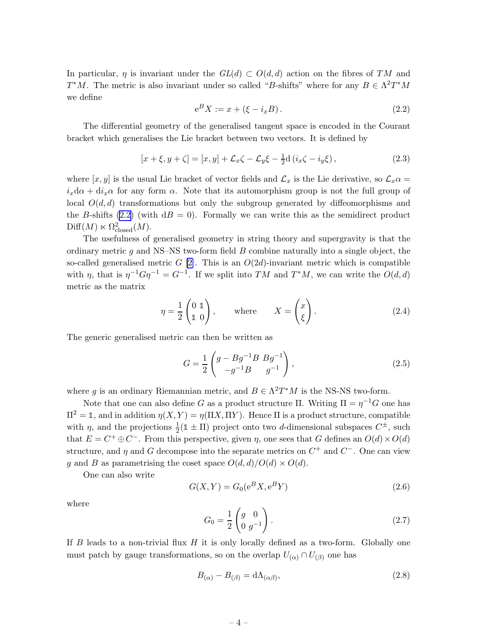<span id="page-4-0"></span>In particular,  $\eta$  is invariant under the  $GL(d) \subset O(d,d)$  action on the fibres of TM and  $T^*M$ . The metric is also invariant under so called "B-shifts" where for any  $B \in \Lambda^2 T^*M$ we define

$$
e^{B} X := x + (\xi - i_x B). \tag{2.2}
$$

The differential geometry of the generalised tangent space is encoded in the Courant bracket which generalises the Lie bracket between two vectors. It is defined by

$$
[x + \xi, y + \zeta] = [x, y] + \mathcal{L}_x \zeta - \mathcal{L}_y \xi - \frac{1}{2} d (i_x \zeta - i_y \xi), \qquad (2.3)
$$

where  $[x, y]$  is the usual Lie bracket of vector fields and  $\mathcal{L}_x$  is the Lie derivative, so  $\mathcal{L}_x \alpha =$  $i_x d\alpha + d i_x \alpha$  for any form  $\alpha$ . Note that its automorphism group is not the full group of local  $O(d,d)$  transformations but only the subgroup generated by diffeomorphisms and the B-shifts (2.2) (with  $dB = 0$ ). Formally we can write this as the semidirect product  $\text{Diff}(M) \ltimes \Omega^2_{\text{closed}}(M).$ 

The usefulness of generalised geometry in string theory and supergravity is that the ordinary metric  $g$  and NS–NS two-form field  $B$  combine naturally into a single object, the so-called generalised metric  $G$  [\[2\]](#page-32-0). This is an  $O(2d)$ -invariant metric which is compatible with  $\eta$ , that is  $\eta^{-1}G\eta^{-1} = G^{-1}$ . If we split into TM and  $T^*M$ , we can write the  $O(d,d)$ metric as the matrix

$$
\eta = \frac{1}{2} \begin{pmatrix} 0 & 1 \\ 1 & 0 \end{pmatrix}, \qquad \text{where} \qquad X = \begin{pmatrix} x \\ \xi \end{pmatrix}. \tag{2.4}
$$

The generic generalised metric can then be written as

$$
G = \frac{1}{2} \begin{pmatrix} g - Bg^{-1}B & Bg^{-1} \\ -g^{-1}B & g^{-1} \end{pmatrix},
$$
\n(2.5)

where g is an ordinary Riemannian metric, and  $B \in \Lambda^2 T^*M$  is the NS-NS two-form.

Note that one can also define G as a product structure  $\Pi$ . Writing  $\Pi = \eta^{-1}G$  one has  $\Pi^2 = \mathbb{1}$ , and in addition  $\eta(X, Y) = \eta(\Pi X, \Pi Y)$ . Hence  $\Pi$  is a product structure, compatible with  $\eta$ , and the projections  $\frac{1}{2}(\mathbb{1} \pm \Pi)$  project onto two d-dimensional subspaces  $C^{\pm}$ , such that  $E = C^+ \oplus C^-$ . From this perspective, given  $\eta$ , one sees that G defines an  $O(d) \times O(d)$ structure, and  $\eta$  and G decompose into the separate metrics on  $C^+$  and  $C^-$ . One can view g and B as parametrising the coset space  $O(d,d)/O(d) \times O(d)$ .

One can also write

$$
G(X,Y) = G_0(e^BX, e^BY) \tag{2.6}
$$

where

$$
G_0 = \frac{1}{2} \begin{pmatrix} g & 0 \\ 0 & g^{-1} \end{pmatrix} .
$$
 (2.7)

If B leads to a non-trivial flux  $H$  it is only locally defined as a two-form. Globally one must patch by gauge transformations, so on the overlap  $U_{(\alpha)} \cap U_{(\beta)}$  one has

$$
B_{(\alpha)} - B_{(\beta)} = d\Lambda_{(\alpha\beta)},\tag{2.8}
$$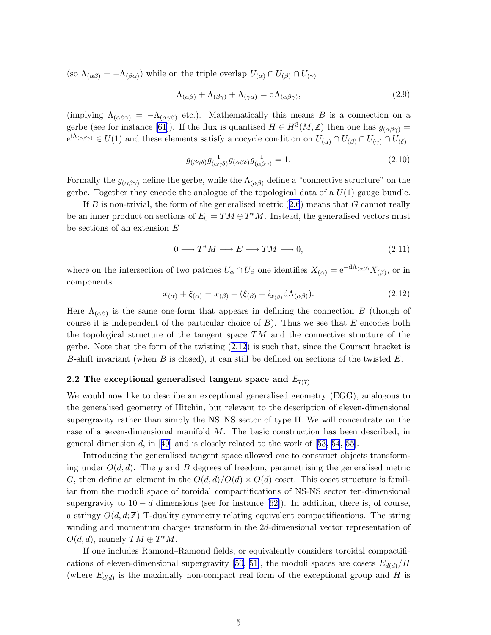<span id="page-5-0"></span>(so  $\Lambda_{(\alpha\beta)} = -\Lambda_{(\beta\alpha)}$ ) while on the triple overlap  $U_{(\alpha)} \cap U_{(\beta)} \cap U_{(\gamma)}$ 

$$
\Lambda_{(\alpha\beta)} + \Lambda_{(\beta\gamma)} + \Lambda_{(\gamma\alpha)} = d\Lambda_{(\alpha\beta\gamma)},\tag{2.9}
$$

(implying  $\Lambda_{(\alpha\beta\gamma)} = -\Lambda_{(\alpha\gamma\beta)}$  etc.). Mathematically this means B is a connection on a gerbe (see for instance [\[61\]](#page-35-0)). If the flux is quantised  $H \in H^3(M, \mathbb{Z})$  then one has  $g_{(\alpha\beta\gamma)} =$  $e^{i\Lambda_{(\alpha\beta\gamma)}} \in U(1)$  and these elements satisfy a cocycle condition on  $U_{(\alpha)} \cap U_{(\beta)} \cap U_{(\gamma)} \cap U_{(\delta)}$ 

$$
g_{(\beta\gamma\delta)}g_{(\alpha\gamma\delta)}^{-1}g_{(\alpha\beta\delta)}g_{(\alpha\beta\gamma)}^{-1} = 1.
$$
\n(2.10)

Formally the  $g_{(\alpha\beta\gamma)}$  define the gerbe, while the  $\Lambda_{(\alpha\beta)}$  define a "connective structure" on the gerbe. Together they encode the analogue of the topological data of a  $U(1)$  gauge bundle.

IfB is non-trivial, the form of the generalised metric  $(2.6)$  $(2.6)$  $(2.6)$  means that G cannot really be an inner product on sections of  $E_0 = TM \oplus T^*M$ . Instead, the generalised vectors must be sections of an extension E

$$
0 \longrightarrow T^*M \longrightarrow E \longrightarrow TM \longrightarrow 0,
$$
\n(2.11)

where on the intersection of two patches  $U_{\alpha} \cap U_{\beta}$  one identifies  $X_{(\alpha)} = e^{-d\Lambda_{(\alpha\beta)}} X_{(\beta)}$ , or in components

$$
x_{(\alpha)} + \xi_{(\alpha)} = x_{(\beta)} + (\xi_{(\beta)} + i_{x_{(\beta)}} d\Lambda_{(\alpha\beta)}).
$$
\n(2.12)

Here  $\Lambda_{(\alpha\beta)}$  is the same one-form that appears in defining the connection B (though of course it is independent of the particular choice of  $B$ ). Thus we see that E encodes both the topological structure of the tangent space  $TM$  and the connective structure of the gerbe. Note that the form of the twisting (2.12) is such that, since the Courant bracket is B-shift invariant (when  $B$  is closed), it can still be defined on sections of the twisted  $E$ .

## 2.2 The exceptional generalised tangent space and  $E_{7(7)}$

We would now like to describe an exceptional generalised geometry (EGG), analogous to the generalised geometry of Hitchin, but relevant to the description of eleven-dimensional supergravity rather than simply the NS–NS sector of type II. We will concentrate on the case of a seven-dimensional manifold M. The basic construction has been described, in generaldimension d, in [[49](#page-34-0)] and is closely related to the work of [[53, 54](#page-34-0), [55\]](#page-34-0).

Introducing the generalised tangent space allowed one to construct objects transforming under  $O(d,d)$ . The q and B degrees of freedom, parametrising the generalised metric G, then define an element in the  $O(d,d)/O(d) \times O(d)$  coset. This coset structure is familiar from the moduli space of toroidal compactifications of NS-NS sector ten-dimensional supergravity to  $10 - d$  dimensions (see for instance [\[62\]](#page-35-0)). In addition, there is, of course, a stringy  $O(d, d; \mathbb{Z})$  T-duality symmetry relating equivalent compactifications. The string winding and momentum charges transform in the 2d-dimensional vector representation of  $O(d, d)$ , namely  $TM \oplus T^*M$ .

If one includes Ramond–Ramond fields, or equivalently considers toroidal compactifi-cationsof eleven-dimensional supergravity [[50, 51\]](#page-34-0), the moduli spaces are cosets  $E_{d(d)}/H$ (where  $E_{d(d)}$  is the maximally non-compact real form of the exceptional group and H is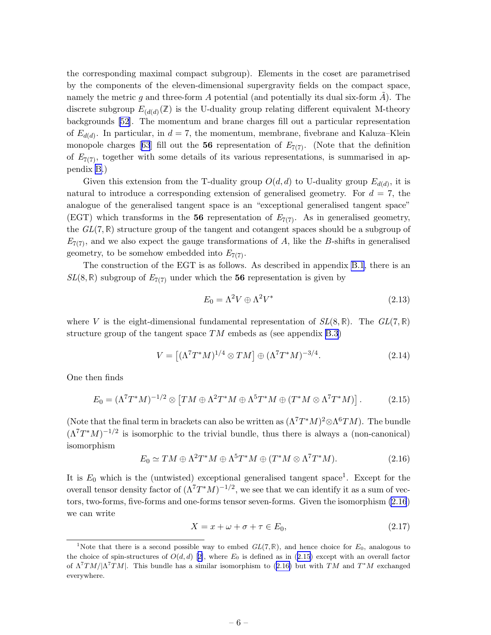<span id="page-6-0"></span>the corresponding maximal compact subgroup). Elements in the coset are parametrised by the components of the eleven-dimensional supergravity fields on the compact space, namely the metric g and three-form  $A$  potential (and potentially its dual six-form  $A$ ). The discrete subgroup  $E_{(d(d))}(Z)$  is the U-duality group relating different equivalent M-theory backgrounds [\[52](#page-34-0)]. The momentum and brane charges fill out a particular representation of  $E_{d(d)}$ . In particular, in  $d = 7$ , the momentum, membrane, fivebrane and Kaluza–Klein monopolecharges [[63](#page-35-0)] fill out the 56 representation of  $E_{7(7)}$ . (Note that the definition of  $E_{7(7)}$ , together with some details of its various representations, is summarised in appendix [B.](#page-27-0))

Given this extension from the T-duality group  $O(d, d)$  to U-duality group  $E_{d(d)}$ , it is natural to introduce a corresponding extension of generalised geometry. For  $d = 7$ , the analogue of the generalised tangent space is an "exceptional generalised tangent space" (EGT) which transforms in the 56 representation of  $E_{7(7)}$ . As in generalised geometry, the  $GL(7,\mathbb{R})$  structure group of the tangent and cotangent spaces should be a subgroup of  $E_{7(7)}$ , and we also expect the gauge transformations of A, like the B-shifts in generalised geometry, to be somehow embedded into  $E_{7(7)}$ .

The construction of the EGT is as follows. As described in appendix [B.1](#page-27-0), there is an  $SL(8,\mathbb{R})$  subgroup of  $E_{7(7)}$  under which the 56 representation is given by

$$
E_0 = \Lambda^2 V \oplus \Lambda^2 V^* \tag{2.13}
$$

where V is the eight-dimensional fundamental representation of  $SL(8,\mathbb{R})$ . The  $GL(7,\mathbb{R})$ structure group of the tangent space  $TM$  embeds as (see appendix [B.3\)](#page-29-0)

$$
V = \left[ (\Lambda^7 T^* M)^{1/4} \otimes T M \right] \oplus (\Lambda^7 T^* M)^{-3/4}.
$$
\n
$$
(2.14)
$$

One then finds

$$
E_0 = (\Lambda^7 T^* M)^{-1/2} \otimes \left[ T M \oplus \Lambda^2 T^* M \oplus \Lambda^5 T^* M \oplus (T^* M \otimes \Lambda^7 T^* M) \right]. \tag{2.15}
$$

(Note that the final term in brackets can also be written as  $(\Lambda^7 T^* M)^2 \otimes \Lambda^6 T M$ ). The bundle  $(\Lambda^7T^*M)^{-1/2}$  is isomorphic to the trivial bundle, thus there is always a (non-canonical) isomorphism

$$
E_0 \simeq TM \oplus \Lambda^2 T^* M \oplus \Lambda^5 T^* M \oplus (T^* M \otimes \Lambda^7 T^* M). \tag{2.16}
$$

It is  $E_0$  which is the (untwisted) exceptional generalised tangent space<sup>1</sup>. Except for the overall tensor density factor of  $(\Lambda^7 T^* M)^{-1/2}$ , we see that we can identify it as a sum of vectors, two-forms, five-forms and one-forms tensor seven-forms. Given the isomorphism (2.16) we can write

$$
X = x + \omega + \sigma + \tau \in E_0,\tag{2.17}
$$

<sup>&</sup>lt;sup>1</sup>Note that there is a second possible way to embed  $GL(7,\mathbb{R})$ , and hence choice for  $E_0$ , analogous to thechoice of spin-structures of  $O(d, d)$  [[2\]](#page-32-0), where  $E_0$  is defined as in (2.15) except with an overall factor of  $\Lambda^7TM/|\Lambda^7TM|$ . This bundle has a similar isomorphism to (2.16) but with TM and T<sup>\*</sup>M exchanged everywhere.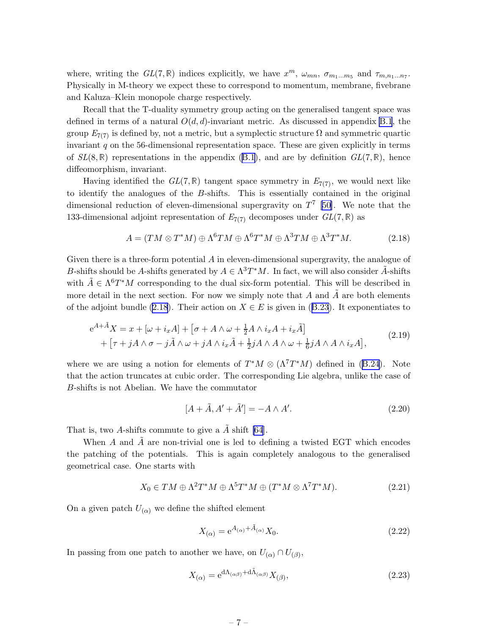<span id="page-7-0"></span>where, writing the  $GL(7,\mathbb{R})$  indices explicitly, we have  $x^m$ ,  $\omega_{mn}$ ,  $\sigma_{m_1...m_5}$  and  $\tau_{m,n_1...n_7}$ . Physically in M-theory we expect these to correspond to momentum, membrane, fivebrane and Kaluza–Klein monopole charge respectively.

Recall that the T-duality symmetry group acting on the generalised tangent space was defined in terms of a natural  $O(d, d)$ -invariant metric. As discussed in appendix [B.1](#page-27-0), the group  $E_{7(7)}$  is defined by, not a metric, but a symplectic structure  $\Omega$  and symmetric quartic invariant  $q$  on the 56-dimensional representation space. These are given explicitly in terms of $SL(8,\mathbb{R})$  representations in the appendix  $(B.1)$  $(B.1)$ , and are by definition  $GL(7,\mathbb{R})$ , hence diffeomorphism, invariant.

Having identified the  $GL(7,\mathbb{R})$  tangent space symmetry in  $E_{7(7)}$ , we would next like to identify the analogues of the B-shifts. This is essentially contained in the original dimensional reduction of eleven-dimensional supergravity on  $T<sup>7</sup>$  [[50\]](#page-34-0). We note that the 133-dimensional adjoint representation of  $E_{7(7)}$  decomposes under  $GL(7,\mathbb{R})$  as

$$
A = (TM \otimes T^*M) \oplus \Lambda^6 TM \oplus \Lambda^6 T^*M \oplus \Lambda^3 TM \oplus \Lambda^3 T^*M. \tag{2.18}
$$

Given there is a three-form potential A in eleven-dimensional supergravity, the analogue of B-shifts should be A-shifts generated by  $A \in \Lambda^3 T^*M$ . In fact, we will also consider  $\tilde{A}$ -shifts with  $\tilde{A} \in \Lambda^6 T^*M$  corresponding to the dual six-form potential. This will be described in more detail in the next section. For now we simply note that A and  $\tilde{A}$  are both elements ofthe adjoint bundle (2.18). Their action on  $X \in E$  is given in ([B.23](#page-30-0)). It exponentiates to

$$
e^{A+\tilde{A}}X = x + [\omega + i_x A] + [\sigma + A \wedge \omega + \frac{1}{2}A \wedge i_x A + i_x \tilde{A}]
$$
  
+ 
$$
[\tau + jA \wedge \sigma - j\tilde{A} \wedge \omega + jA \wedge i_x \tilde{A} + \frac{1}{2}jA \wedge A \wedge \omega + \frac{1}{6}jA \wedge A \wedge i_x A],
$$
 (2.19)

wherewe are using a notion for elements of  $T^*M \otimes (\Lambda^7 T^*M)$  defined in ([B.24](#page-30-0)). Note that the action truncates at cubic order. The corresponding Lie algebra, unlike the case of B-shifts is not Abelian. We have the commutator

$$
[A + \tilde{A}, A' + \tilde{A}'] = -A \wedge A'. \qquad (2.20)
$$

That is, two A-shifts commute to give a  $\tilde{A}$  shift [\[64](#page-35-0)].

When  $A$  and  $A$  are non-trivial one is led to defining a twisted EGT which encodes the patching of the potentials. This is again completely analogous to the generalised geometrical case. One starts with

$$
X_0 \in TM \oplus \Lambda^2 T^*M \oplus \Lambda^5 T^*M \oplus (T^*M \otimes \Lambda^7 T^*M). \tag{2.21}
$$

On a given patch  $U_{(\alpha)}$  we define the shifted element

$$
X_{(\alpha)} = e^{A_{(\alpha)} + \tilde{A}_{(\alpha)}} X_0. \tag{2.22}
$$

In passing from one patch to another we have, on  $U_{(\alpha)} \cap U_{(\beta)}$ ,

$$
X_{(\alpha)} = e^{d\Lambda_{(\alpha\beta)} + d\tilde{\Lambda}_{(\alpha\beta)}} X_{(\beta)},
$$
\n(2.23)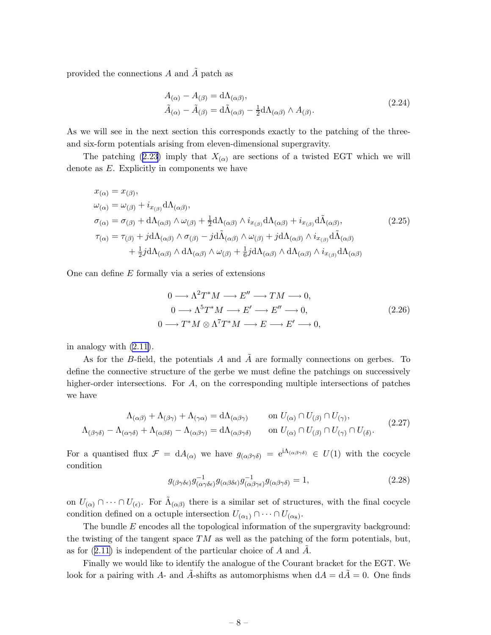<span id="page-8-0"></span>provided the connections  $A$  and  $\overline{A}$  patch as

$$
A_{(\alpha)} - A_{(\beta)} = d\Lambda_{(\alpha\beta)},
$$
  
\n
$$
\tilde{A}_{(\alpha)} - \tilde{A}_{(\beta)} = d\tilde{\Lambda}_{(\alpha\beta)} - \frac{1}{2}d\Lambda_{(\alpha\beta)} \wedge A_{(\beta)}.
$$
\n(2.24)

As we will see in the next section this corresponds exactly to the patching of the threeand six-form potentials arising from eleven-dimensional supergravity.

Thepatching ([2.23](#page-7-0)) imply that  $X_{(\alpha)}$  are sections of a twisted EGT which we will denote as E. Explicitly in components we have

$$
x_{(\alpha)} = x_{(\beta)},
$$
  
\n
$$
\omega_{(\alpha)} = \omega_{(\beta)} + i_{x_{(\beta)}} d\Lambda_{(\alpha\beta)},
$$
  
\n
$$
\sigma_{(\alpha)} = \sigma_{(\beta)} + d\Lambda_{(\alpha\beta)} \wedge \omega_{(\beta)} + \frac{1}{2} d\Lambda_{(\alpha\beta)} \wedge i_{x_{(\beta)}} d\Lambda_{(\alpha\beta)} + i_{x_{(\beta)}} d\tilde{\Lambda}_{(\alpha\beta)},
$$
  
\n
$$
\tau_{(\alpha)} = \tau_{(\beta)} + j d\Lambda_{(\alpha\beta)} \wedge \sigma_{(\beta)} - j d\tilde{\Lambda}_{(\alpha\beta)} \wedge \omega_{(\beta)} + j d\Lambda_{(\alpha\beta)} \wedge i_{x_{(\beta)}} d\tilde{\Lambda}_{(\alpha\beta)}
$$
  
\n
$$
+ \frac{1}{2} j d\Lambda_{(\alpha\beta)} \wedge d\Lambda_{(\alpha\beta)} \wedge \omega_{(\beta)} + \frac{1}{6} j d\Lambda_{(\alpha\beta)} \wedge d\Lambda_{(\alpha\beta)} \wedge i_{x_{(\beta)}} d\Lambda_{(\alpha\beta)}
$$
  
\n(2.25)

One can define  $E$  formally via a series of extensions

$$
0 \longrightarrow \Lambda^2 T^* M \longrightarrow E'' \longrightarrow TM \longrightarrow 0,
$$
  
\n
$$
0 \longrightarrow \Lambda^5 T^* M \longrightarrow E' \longrightarrow E'' \longrightarrow 0,
$$
  
\n
$$
0 \longrightarrow T^* M \otimes \Lambda^7 T^* M \longrightarrow E \longrightarrow E' \longrightarrow 0,
$$
  
\n(2.26)

in analogy with [\(2.11\)](#page-5-0).

As for the B-field, the potentials A and  $\tilde{A}$  are formally connections on gerbes. To define the connective structure of the gerbe we must define the patchings on successively higher-order intersections. For A, on the corresponding multiple intersections of patches we have

$$
\Lambda_{(\alpha\beta)} + \Lambda_{(\beta\gamma)} + \Lambda_{(\gamma\alpha)} = d\Lambda_{(\alpha\beta\gamma)} \qquad \text{on } U_{(\alpha)} \cap U_{(\beta)} \cap U_{(\gamma)},
$$
\n
$$
\Lambda_{(\beta\gamma\delta)} - \Lambda_{(\alpha\gamma\delta)} + \Lambda_{(\alpha\beta\delta)} - \Lambda_{(\alpha\beta\gamma)} = d\Lambda_{(\alpha\beta\gamma\delta)} \qquad \text{on } U_{(\alpha)} \cap U_{(\beta)} \cap U_{(\gamma)} \cap U_{(\delta)}.
$$
\n(2.27)

For a quantised flux  $\mathcal{F} = dA_{(\alpha)}$  we have  $g_{(\alpha\beta\gamma\delta)} = e^{i\Lambda_{(\alpha\beta\gamma\delta)}} \in U(1)$  with the cocycle condition

$$
g_{(\beta\gamma\delta\epsilon)}g_{(\alpha\gamma\delta\epsilon)}^{-1}g_{(\alpha\beta\delta\epsilon)}g_{(\alpha\beta\gamma\epsilon)}^{-1}g_{(\alpha\beta\gamma\delta)} = 1,
$$
\n(2.28)

on  $U_{(\alpha)} \cap \cdots \cap U_{(\epsilon)}$ . For  $\tilde{\Lambda}_{(\alpha\beta)}$  there is a similar set of structures, with the final cocycle condition defined on a octuple intersection  $U_{(\alpha_1)} \cap \cdots \cap U_{(\alpha_8)}$ .

The bundle  $E$  encodes all the topological information of the supergravity background: the twisting of the tangent space  $TM$  as well as the patching of the form potentials, but, asfor  $(2.11)$  $(2.11)$  is independent of the particular choice of A and A.

Finally we would like to identify the analogue of the Courant bracket for the EGT. We look for a pairing with A- and  $\tilde{A}$ -shifts as automorphisms when  $dA = d\tilde{A} = 0$ . One finds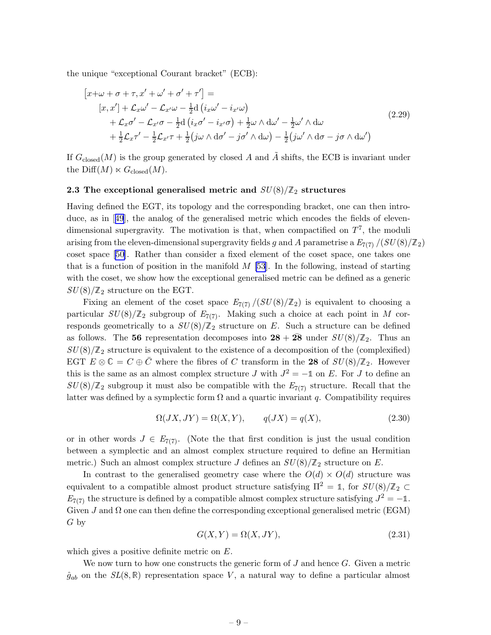<span id="page-9-0"></span>the unique "exceptional Courant bracket" (ECB):

$$
[x+\omega + \sigma + \tau, x' + \omega' + \sigma' + \tau'] =
$$
  
\n
$$
[x, x'] + \mathcal{L}_x \omega' - \mathcal{L}_{x'} \omega - \frac{1}{2} d (i_x \omega' - i_{x'} \omega)
$$
  
\n
$$
+ \mathcal{L}_x \sigma' - \mathcal{L}_{x'} \sigma - \frac{1}{2} d (i_x \sigma' - i_{x'} \sigma) + \frac{1}{2} \omega \wedge d\omega' - \frac{1}{2} \omega' \wedge d\omega
$$
  
\n
$$
+ \frac{1}{2} \mathcal{L}_x \tau' - \frac{1}{2} \mathcal{L}_{x'} \tau + \frac{1}{2} (j \omega \wedge d\sigma' - j \sigma' \wedge d\omega) - \frac{1}{2} (j \omega' \wedge d\sigma - j \sigma \wedge d\omega')
$$
\n(2.29)

If  $G_{\text{closed}}(M)$  is the group generated by closed A and A shifts, the ECB is invariant under the Diff $(M) \ltimes G_{\text{closed}}(M)$ .

#### 2.3 The exceptional generalised metric and  $SU(8)/\mathbb{Z}_2$  structures

Having defined the EGT, its topology and the corresponding bracket, one can then introduce, as in[[49](#page-34-0)], the analog of the generalised metric which encodes the fields of elevendimensional supergravity. The motivation is that, when compactified on  $T^7$ , the moduli arising from the eleven-dimensional supergravity fields g and A parametrise a  $E_{7(7)}/(SU(8)/\mathbb{Z}_2)$ coset space [\[50](#page-34-0)]. Rather than consider a fixed element of the coset space, one takes one that is a function of position in the manifold  $M$  [\[53](#page-34-0)]. In the following, instead of starting with the coset, we show how the exceptional generalised metric can be defined as a generic  $SU(8)/\mathbb{Z}_2$  structure on the EGT.

Fixing an element of the coset space  $E_{7(7)}/(SU(8)/\mathbb{Z}_2)$  is equivalent to choosing a particular  $SU(8)/\mathbb{Z}_2$  subgroup of  $E_{7(7)}$ . Making such a choice at each point in M corresponds geometrically to a  $SU(8)/\mathbb{Z}_2$  structure on E. Such a structure can be defined as follows. The 56 representation decomposes into  $28 + 28$  under  $SU(8)/\mathbb{Z}_2$ . Thus an  $SU(8)/\mathbb{Z}_2$  structure is equivalent to the existence of a decomposition of the (complexified) EGT  $E \otimes \mathbb{C} = C \oplus \overline{C}$  where the fibres of C transform in the 28 of  $SU(8)/\mathbb{Z}_2$ . However this is the same as an almost complex structure  $J$  with  $J^2 = -\mathbb{1}$  on  $E$ . For  $J$  to define an  $SU(8)/\mathbb{Z}_2$  subgroup it must also be compatible with the  $E_{7(7)}$  structure. Recall that the latter was defined by a symplectic form  $\Omega$  and a quartic invariant q. Compatibility requires

$$
\Omega(JX, JY) = \Omega(X, Y), \qquad q(JX) = q(X), \tag{2.30}
$$

or in other words  $J \in E_{7(7)}$ . (Note the that first condition is just the usual condition between a symplectic and an almost complex structure required to define an Hermitian metric.) Such an almost complex structure J defines an  $SU(8)/\mathbb{Z}_2$  structure on E.

In contrast to the generalised geometry case where the  $O(d) \times O(d)$  structure was equivalent to a compatible almost product structure satisfying  $\Pi^2 = \mathbb{1}$ , for  $SU(8)/\mathbb{Z}_2 \subset$  $E_{7(7)}$  the structure is defined by a compatible almost complex structure satisfying  $J^2 = -1$ . Given  $J$  and  $\Omega$  one can then define the corresponding exceptional generalised metric (EGM) G by

$$
G(X,Y) = \Omega(X,JY),\tag{2.31}
$$

which gives a positive definite metric on E.

We now turn to how one constructs the generic form of  $J$  and hence  $G$ . Given a metric  $\hat{g}_{ab}$  on the  $SL(8,\mathbb{R})$  representation space V, a natural way to define a particular almost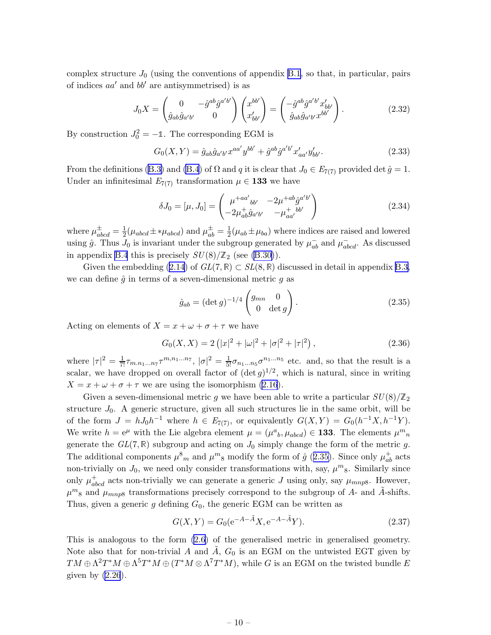complex structure  $J_0$  (using the conventions of appendix [B.1,](#page-27-0) so that, in particular, pairs of indices  $aa'$  and  $bb'$  are antisymmetrised) is as

$$
J_0 X = \begin{pmatrix} 0 & -\hat{g}^{ab}\hat{g}^{a'b'} \\ \hat{g}_{ab}\hat{g}_{a'b'} & 0 \end{pmatrix} \begin{pmatrix} x^{bb'} \\ x'_{bb'} \end{pmatrix} = \begin{pmatrix} -\hat{g}^{ab}\hat{g}^{a'b'}x'_{bb'} \\ \hat{g}_{ab}\hat{g}_{a'b'}x^{bb'} \end{pmatrix}.
$$
 (2.32)

By construction  $J_0^2 = -\mathbb{1}$ . The corresponding EGM is

$$
G_0(X,Y) = \hat{g}_{ab}\hat{g}_{a'b'}x^{aa'}y^{bb'} + \hat{g}^{ab}\hat{g}^{a'b'}x'_{aa'}y'_{bb'}.
$$
 (2.33)

Fromthe definitions ([B.3\)](#page-27-0) and [\(B.4](#page-28-0)) of  $\Omega$  and q it is clear that  $J_0 \in E_{7(7)}$  provided det  $\hat{g} = 1$ . Under an infinitesimal  $E_{7(7)}$  transformation  $\mu \in \mathbf{133}$  we have

$$
\delta J_0 = [\mu, J_0] = \begin{pmatrix} \mu^{+aa'}_{\phantom{a'}bb'} & -2\mu^{+ab}\hat{g}^{a'b'}\\ -2\mu^+_{ab}\hat{g}_{a'b'} & -\mu^+_{aa'} \end{pmatrix}
$$
\n(2.34)

where  $\mu_{abcd}^{\pm} = \frac{1}{2}$  $\frac{1}{2}(\mu_{abcd} \pm *\mu_{abcd})$  and  $\mu_{ab}^{\pm} = \frac{1}{2}$  $\frac{1}{2}(\mu_{ab} \pm \mu_{ba})$  where indices are raised and lowered using  $\hat{g}$ . Thus  $J_0$  is invariant under the subgroup generated by  $\mu_{ab}^-$  and  $\mu_{abcd}^-$ . As discussed in appendix [B.4](#page-30-0) this is precisely  $SU(8)/\mathbb{Z}_2$  (see [\(B.30\)](#page-31-0)).

Given the embedding [\(2.14](#page-6-0)) of  $GL(7,\mathbb{R})\subset SL(8,\mathbb{R})$  discussed in detail in appendix [B.3,](#page-29-0) we can define  $\hat{q}$  in terms of a seven-dimensional metric q as

$$
\hat{g}_{ab} = (\det g)^{-1/4} \begin{pmatrix} g_{mn} & 0 \\ 0 & \det g \end{pmatrix}.
$$
 (2.35)

Acting on elements of  $X = x + \omega + \sigma + \tau$  we have

$$
G_0(X, X) = 2(|x|^2 + |\omega|^2 + |\sigma|^2 + |\tau|^2), \qquad (2.36)
$$

where  $|\tau|^2 = \frac{1}{7!} \tau_{m,n_1...n_7} \tau^{m,n_1...n_7}$ ,  $|\sigma|^2 = \frac{1}{5!} \sigma_{n_1...n_5} \sigma^{n_1...n_5}$  etc. and, so that the result is a scalar, we have dropped on overall factor of  $(\det g)^{1/2}$ , which is natural, since in writing  $X = x + \omega + \sigma + \tau$  we are using the isomorphism [\(2.16](#page-6-0)).

Given a seven-dimensional metric g we have been able to write a particular  $SU(8)/\mathbb{Z}_2$ structure  $J_0$ . A generic structure, given all such structures lie in the same orbit, will be of the form  $J = hJ_0h^{-1}$  where  $h \in E_{7(7)}$ , or equivalently  $G(X,Y) = G_0(h^{-1}X,h^{-1}Y)$ . We write  $h = e^{\mu}$  with the Lie algebra element  $\mu = (\mu^a{}_b, \mu_{abcd}) \in 133$ . The elements  $\mu^m{}_n$ generate the  $GL(7,\mathbb{R})$  subgroup and acting on  $J_0$  simply change the form of the metric g. The additional components  $\mu_{m}^{8}$  and  $\mu_{8}^{m}$  modify the form of  $\hat{g}$  (2.35). Since only  $\mu_{ab}^{+}$  acts non-trivially on  $J_0$ , we need only consider transformations with, say,  $\mu^m$ <sub>8</sub>. Similarly since only  $\mu_{abcd}^+$  acts non-trivially we can generate a generic J using only, say  $\mu_{mnp8}$ . However,  $\mu^{m}{}_{8}$  and  $\mu_{mnp8}$  transformations precisely correspond to the subgroup of A- and  $\tilde{A}$ -shifts. Thus, given a generic g defining  $G_0$ , the generic EGM can be written as

$$
G(X,Y) = G_0(e^{-A-\tilde{A}}X, e^{-A-\tilde{A}}Y).
$$
\n(2.37)

This is analogous to the form [\(2.6\)](#page-4-0) of the generalised metric in generalised geometry. Note also that for non-trivial A and  $\tilde{A}$ ,  $G_0$  is an EGM on the untwisted EGT given by  $TM \oplus \Lambda^2T^*M \oplus \Lambda^5T^*M \oplus (T^*M \otimes \Lambda^7T^*M)$ , while G is an EGM on the twisted bundle E given by  $(2.26)$ .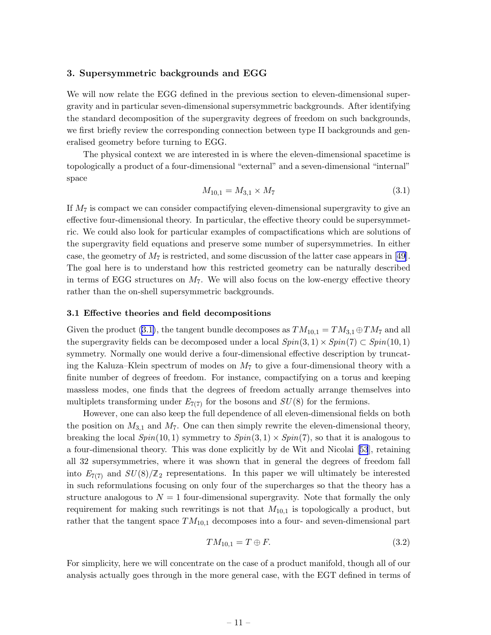#### <span id="page-11-0"></span>3. Supersymmetric backgrounds and EGG

We will now relate the EGG defined in the previous section to eleven-dimensional supergravity and in particular seven-dimensional supersymmetric backgrounds. After identifying the standard decomposition of the supergravity degrees of freedom on such backgrounds, we first briefly review the corresponding connection between type II backgrounds and generalised geometry before turning to EGG.

The physical context we are interested in is where the eleven-dimensional spacetime is topologically a product of a four-dimensional "external" and a seven-dimensional "internal" space

$$
M_{10,1} = M_{3,1} \times M_7 \tag{3.1}
$$

If  $M_7$  is compact we can consider compactifying eleven-dimensional supergravity to give an effective four-dimensional theory. In particular, the effective theory could be supersymmetric. We could also look for particular examples of compactifications which are solutions of the supergravity field equations and preserve some number of supersymmetries. In either case,the geometry of  $M_7$  is restricted, and some discussion of the latter case appears in [[49\]](#page-34-0). The goal here is to understand how this restricted geometry can be naturally described in terms of EGG structures on  $M<sub>7</sub>$ . We will also focus on the low-energy effective theory rather than the on-shell supersymmetric backgrounds.

#### 3.1 Effective theories and field decompositions

Given the product (3.1), the tangent bundle decomposes as  $TM_{10,1} = TM_{3,1} \oplus TM_7$  and all the supergravity fields can be decomposed under a local  $Spin(3,1) \times Spin(7) \subset Spin(10,1)$ symmetry. Normally one would derive a four-dimensional effective description by truncating the Kaluza–Klein spectrum of modes on  $M<sub>7</sub>$  to give a four-dimensional theory with a finite number of degrees of freedom. For instance, compactifying on a torus and keeping massless modes, one finds that the degrees of freedom actually arrange themselves into multiplets transforming under  $E_{7(7)}$  for the bosons and  $SU(8)$  for the fermions.

However, one can also keep the full dependence of all eleven-dimensional fields on both the position on  $M_{3,1}$  and  $M_7$ . One can then simply rewrite the eleven-dimensional theory, breaking the local  $Spin(10, 1)$  symmetry to  $Spin(3, 1) \times Spin(7)$ , so that it is analogous to a four-dimensional theory. This was done explicitly by de Wit and Nicolai[[53](#page-34-0)], retaining all 32 supersymmetries, where it was shown that in general the degrees of freedom fall into  $E_{7(7)}$  and  $SU(8)/\mathbb{Z}_2$  representations. In this paper we will ultimately be interested in such reformulations focusing on only four of the supercharges so that the theory has a structure analogous to  $N = 1$  four-dimensional supergravity. Note that formally the only requirement for making such rewritings is not that  $M_{10,1}$  is topologically a product, but rather that the tangent space  $TM_{10,1}$  decomposes into a four- and seven-dimensional part

$$
TM_{10,1} = T \oplus F. \tag{3.2}
$$

For simplicity, here we will concentrate on the case of a product manifold, though all of our analysis actually goes through in the more general case, with the EGT defined in terms of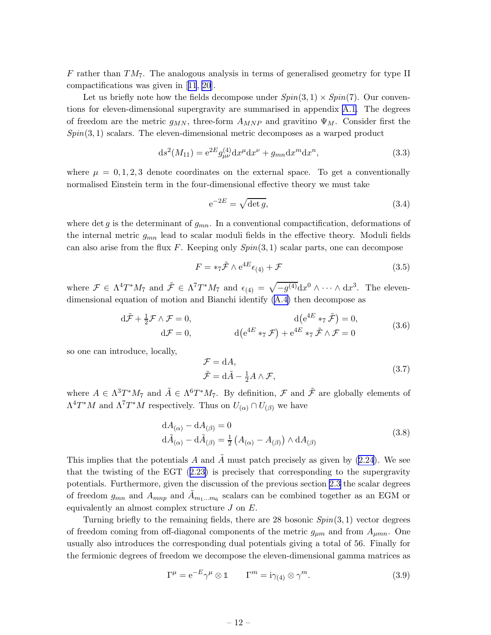F rather than  $TM<sub>7</sub>$ . The analogous analysis in terms of generalised geometry for type II compactifications was given in[[11](#page-32-0), [20](#page-33-0)].

Let us briefly note how the fields decompose under  $Spin(3,1) \times Spin(7)$ . Our conventions for eleven-dimensional supergravity are summarised in appendix [A.1.](#page-25-0) The degrees of freedom are the metric  $g_{MN}$ , three-form  $A_{MNP}$  and gravitino  $\Psi_M$ . Consider first the  $Spin(3,1)$  scalars. The eleven-dimensional metric decomposes as a warped product

$$
ds^{2}(M_{11}) = e^{2E} g_{\mu\nu}^{(4)} dx^{\mu} dx^{\nu} + g_{mn} dx^{m} dx^{n}, \qquad (3.3)
$$

where  $\mu = 0, 1, 2, 3$  denote coordinates on the external space. To get a conventionally normalised Einstein term in the four-dimensional effective theory we must take

$$
e^{-2E} = \sqrt{\det g},\tag{3.4}
$$

where det g is the determinant of  $g_{mn}$ . In a conventional compactification, deformations of the internal metric  $g_{mn}$  lead to scalar moduli fields in the effective theory. Moduli fields can also arise from the flux F. Keeping only  $Spin(3,1)$  scalar parts, one can decompose

$$
F = *_{7}\tilde{\mathcal{F}} \wedge e^{4E} \epsilon_{(4)} + \mathcal{F}
$$
\n(3.5)

where  $\mathcal{F} \in \Lambda^4 T^* M_7$  and  $\tilde{\mathcal{F}} \in \Lambda^7 T^* M_7$  and  $\epsilon_{(4)} = \sqrt{-g^{(4)}} dx^0 \wedge \cdots \wedge dx^3$ . The elevendimensional equation of motion and Bianchi identify [\(A.4\)](#page-26-0) then decompose as

$$
d\tilde{\mathcal{F}} + \frac{1}{2}\mathcal{F} \wedge \mathcal{F} = 0, \qquad d(e^{4E} *_{7} \tilde{\mathcal{F}}) = 0, d\mathcal{F} = 0, \qquad d(e^{4E} *_{7} \tilde{\mathcal{F}}) + e^{4E} *_{7} \tilde{\mathcal{F}} \wedge \mathcal{F} = 0
$$
\n(3.6)

so one can introduce, locally,

$$
\mathcal{F} = dA, \n\tilde{\mathcal{F}} = d\tilde{A} - \frac{1}{2}A \wedge \mathcal{F},
$$
\n(3.7)

where  $A \in \Lambda^3 T^* M_7$  and  $\tilde{A} \in \Lambda^6 T^* M_7$ . By definition,  $\mathcal F$  and  $\tilde{\mathcal F}$  are globally elements of  $\Lambda^4T^*M$  and  $\Lambda^7T^*M$  respectively. Thus on  $U_{(\alpha)} \cap U_{(\beta)}$  we have

$$
dA_{(\alpha)} - dA_{(\beta)} = 0
$$
  
\n
$$
d\tilde{A}_{(\alpha)} - d\tilde{A}_{(\beta)} = \frac{1}{2} (A_{(\alpha)} - A_{(\beta)}) \wedge dA_{(\beta)}
$$
\n(3.8)

This implies that the potentials A and  $\tilde{A}$  must patch precisely as given by [\(2.24](#page-8-0)). We see that the twisting of the EGT([2.23\)](#page-7-0) is precisely that corresponding to the supergravity potentials. Furthermore, given the discussion of the previous section [2.3](#page-9-0) the scalar degrees of freedom  $g_{mn}$  and  $\tilde{A}_{mnp}$  and  $\tilde{A}_{m_1...m_6}$  scalars can be combined together as an EGM or equivalently an almost complex structure  $J$  on  $E$ .

Turning briefly to the remaining fields, there are 28 bosonic  $Spin(3,1)$  vector degrees of freedom coming from off-diagonal components of the metric  $g_{\mu m}$  and from  $A_{\mu mn}$ . One usually also introduces the corresponding dual potentials giving a total of 56. Finally for the fermionic degrees of freedom we decompose the eleven-dimensional gamma matrices as

$$
\Gamma^{\mu} = e^{-E} \gamma^{\mu} \otimes \mathbb{1} \qquad \Gamma^{m} = i \gamma_{(4)} \otimes \gamma^{m}.
$$
 (3.9)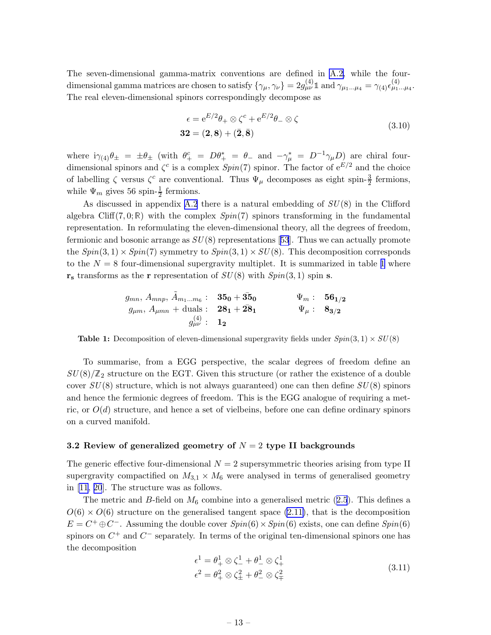<span id="page-13-0"></span>The seven-dimensional gamma-matrix conventions are defined in [A.2,](#page-26-0) while the fourdimensional gamma matrices are chosen to satisfy  $\{\gamma_{\mu}, \gamma_{\nu}\}=2g^{(4)}_{\mu\nu}\mathbb{1}$  and  $\gamma_{\mu_1...\mu_4}=\gamma_{(4)}\epsilon^{(4)}_{\mu_1...\mu_4}$ . The real eleven-dimensional spinors correspondingly decompose as

$$
\epsilon = e^{E/2}\theta_+ \otimes \zeta^c + e^{E/2}\theta_- \otimes \zeta
$$
  
32 = (2,8) + (\bar{2}, \bar{8})

where  $i\gamma_{(4)}\theta_{\pm} = \pm \theta_{\pm}$  (with  $\theta_{+}^{c} = D\theta_{+}^{*} = \theta_{-}$  and  $-\gamma_{\mu}^{*} = D^{-1}\gamma_{\mu}D_{\mu}$  are chiral fourdimensional spinors and  $\zeta^c$  is a complex  $Spin(7)$  spinor. The factor of  $e^{E/2}$  and the choice of labelling  $\zeta$  versus  $\zeta^c$  are conventional. Thus  $\Psi_\mu$  decomposes as eight spin- $\frac{3}{2}$  fermions, while  $\Psi_m$  gives 56 spin- $\frac{1}{2}$  fermions.

As discussed in appendix [A.2](#page-26-0) there is a natural embedding of  $SU(8)$  in the Clifford algebra Cliff(7,0; R) with the complex  $Spin(7)$  spinors transforming in the fundamental representation. In reformulating the eleven-dimensional theory, all the degrees of freedom, fermionicand bosonic arrange as  $SU(8)$  representations [[53](#page-34-0)]. Thus we can actually promote the  $Spin(3,1) \times Spin(7)$  symmetry to  $Spin(3,1) \times SU(8)$ . This decomposition corresponds to the  $N = 8$  four-dimensional supergravity multiplet. It is summarized in table 1 where  $\mathbf{r}_s$  transforms as the r representation of  $SU(8)$  with  $Spin(3,1)$  spin s.

$$
g_{mn}, A_{mnp}, \tilde{A}_{m_1...m_6}: 35_0 + 35_0 \t \Psi_m: 56_{1/2}
$$
  

$$
g_{\mu m}, A_{\mu mn} + \text{duals}: 28_1 + 28_1 \t \Psi_\mu: 8_{3/2}
$$
  

$$
g_{\mu\nu}^{(4)}: 1_2
$$

**Table 1:** Decomposition of eleven-dimensional supergravity fields under  $Spin(3,1) \times SU(8)$ 

To summarise, from a EGG perspective, the scalar degrees of freedom define an  $SU(8)/\mathbb{Z}_2$  structure on the EGT. Given this structure (or rather the existence of a double cover  $SU(8)$  structure, which is not always guaranteed) one can then define  $SU(8)$  spinors and hence the fermionic degrees of freedom. This is the EGG analogue of requiring a metric, or  $O(d)$  structure, and hence a set of vielbeins, before one can define ordinary spinors on a curved manifold.

## 3.2 Review of generalized geometry of  $N = 2$  type II backgrounds

The generic effective four-dimensional  $N = 2$  supersymmetric theories arising from type II supergravity compactified on  $M_{3,1} \times M_6$  were analysed in terms of generalised geometry in [\[11](#page-32-0), [20](#page-33-0)]. The structure was as follows.

Themetric and B-field on  $M_6$  combine into a generalised metric ([2.5](#page-4-0)). This defines a  $O(6) \times O(6)$  structure on the generalised tangent space [\(2.11\)](#page-5-0), that is the decomposition  $E = C^+ \oplus C^-$ . Assuming the double cover  $Spin(6) \times Spin(6)$  exists, one can define  $Spin(6)$ spinors on  $C^+$  and  $C^-$  separately. In terms of the original ten-dimensional spinors one has the decomposition

$$
\epsilon^1 = \theta_+^1 \otimes \zeta_-^1 + \theta_-^1 \otimes \zeta_+^1
$$
  
\n
$$
\epsilon^2 = \theta_+^2 \otimes \zeta_\pm^2 + \theta_-^2 \otimes \zeta_\mp^2
$$
\n(3.11)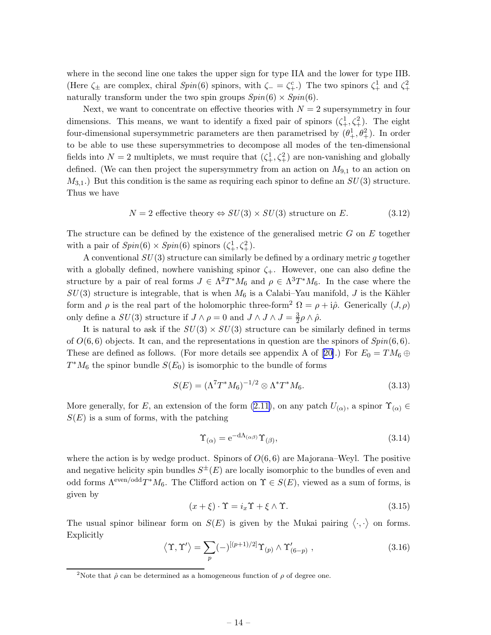<span id="page-14-0"></span>where in the second line one takes the upper sign for type IIA and the lower for type IIB. (Here  $\zeta_{\pm}$  are complex, chiral  $Spin(6)$  spinors, with  $\zeta_{-} = \zeta_{+}^{c}$ .) The two spinors  $\zeta_{+}^{1}$  and  $\zeta_{+}^{2}$ naturally transform under the two spin groups  $Spin(6) \times Spin(6)$ .

Next, we want to concentrate on effective theories with  $N = 2$  supersymmetry in four dimensions. This means, we want to identify a fixed pair of spinors  $(\zeta_+^1, \zeta_+^2)$ . The eight four-dimensional supersymmetric parameters are then parametrised by  $(\theta_+^1, \theta_+^2)$ . In order to be able to use these supersymmetries to decompose all modes of the ten-dimensional fields into  $N=2$  multiplets, we must require that  $(\zeta_+^1, \zeta_+^2)$  are non-vanishing and globally defined. (We can then project the supersymmetry from an action on  $M_{9,1}$  to an action on  $M_{3,1}$ .) But this condition is the same as requiring each spinor to define an  $SU(3)$  structure. Thus we have

$$
N = 2 \text{ effective theory} \Leftrightarrow SU(3) \times SU(3) \text{ structure on } E. \tag{3.12}
$$

The structure can be defined by the existence of the generalised metric  $G$  on  $E$  together with a pair of  $Spin(6) \times Spin(6)$  spinors  $(\zeta^1_+, \zeta^2_+).$ 

A conventional  $SU(3)$  structure can similarly be defined by a ordinary metric g together with a globally defined, nowhere vanishing spinor  $\zeta_{+}$ . However, one can also define the structure by a pair of real forms  $J \in \Lambda^2 T^* M_6$  and  $\rho \in \Lambda^3 T^* M_6$ . In the case where the  $SU(3)$  structure is integrable, that is when  $M_6$  is a Calabi–Yau manifold, J is the Kähler form and  $\rho$  is the real part of the holomorphic three-form<sup>2</sup>  $\Omega = \rho + i\hat{\rho}$ . Generically  $(J, \rho)$ only define a  $SU(3)$  structure if  $J \wedge \rho = 0$  and  $J \wedge J \wedge J = \frac{3}{2}$  $\frac{3}{2}\rho\wedge\hat{\rho}.$ 

It is natural to ask if the  $SU(3) \times SU(3)$  structure can be similarly defined in terms of  $O(6, 6)$  objects. It can, and the representations in question are the spinors of  $Spin(6, 6)$ . Theseare defined as follows. (For more details see appendix A of [[20\]](#page-33-0).) For  $E_0 = TM_6 \oplus$  $T^*M_6$  the spinor bundle  $S(E_0)$  is isomorphic to the bundle of forms

$$
S(E) = (\Lambda^7 T^* M_6)^{-1/2} \otimes \Lambda^* T^* M_6. \tag{3.13}
$$

More generally, for E, an extension of the form  $(2.11)$ , on any patch  $U_{(\alpha)}$ , a spinor  $\Upsilon_{(\alpha)} \in$  $S(E)$  is a sum of forms, with the patching

$$
\Upsilon_{(\alpha)} = e^{-d\Lambda_{(\alpha\beta)}} \Upsilon_{(\beta)},\tag{3.14}
$$

where the action is by wedge product. Spinors of  $O(6, 6)$  are Majorana–Weyl. The positive and negative helicity spin bundles  $S^{\pm}(E)$  are locally isomorphic to the bundles of even and odd forms  $\Lambda^{\text{even}/\text{odd}}T^*M_6$ . The Clifford action on  $\Upsilon \in S(E)$ , viewed as a sum of forms, is given by

$$
(x + \xi) \cdot \Upsilon = i_x \Upsilon + \xi \wedge \Upsilon. \tag{3.15}
$$

The usual spinor bilinear form on  $S(E)$  is given by the Mukai pairing  $\langle \cdot, \cdot \rangle$  on forms. Explicitly

$$
\langle \Upsilon, \Upsilon' \rangle = \sum_{p} (-)^{[(p+1)/2]} \Upsilon_{(p)} \wedge \Upsilon'_{(6-p)}, \qquad (3.16)
$$

<sup>&</sup>lt;sup>2</sup>Note that  $\hat{\rho}$  can be determined as a homogeneous function of  $\rho$  of degree one.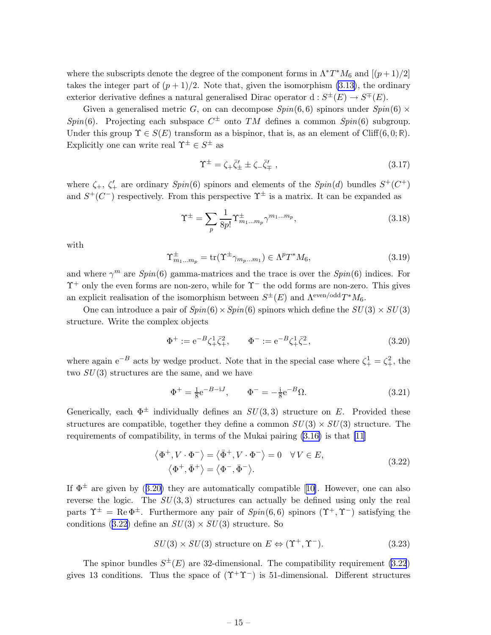<span id="page-15-0"></span>where the subscripts denote the degree of the component forms in  $\Lambda^* T^* M_6$  and  $[(p+1)/2]$ takes the integer part of  $(p+1)/2$ . Note that, given the isomorphism [\(3.13\)](#page-14-0), the ordinary exterior derivative defines a natural generalised Dirac operator  $d: S^{\pm}(E) \to S^{\mp}(E)$ .

Given a generalised metric G, on can decompose  $Spin(6,6)$  spinors under  $Spin(6) \times$ Spin(6). Projecting each subspace  $C^{\pm}$  onto TM defines a common Spin(6) subgroup. Under this group  $\Upsilon \in S(E)$  transform as a bispinor, that is, as an element of Cliff(6,0; R). Explicitly one can write real  $\Upsilon^{\pm} \in S^{\pm}$  as

$$
\Upsilon^{\pm} = \zeta_{+} \bar{\zeta}'_{\pm} \pm \zeta_{-} \bar{\zeta}'_{\mp} , \qquad (3.17)
$$

where  $\zeta_+$ ,  $\zeta'_+$  are ordinary  $Spin(6)$  spinors and elements of the  $Spin(d)$  bundles  $S^+(C^+)$ and  $S^+(C^-)$  respectively. From this perspective  $\Upsilon^{\pm}$  is a matrix. It can be expanded as

$$
\Upsilon^{\pm} = \sum_{p} \frac{1}{8p!} \Upsilon^{\pm}_{m_1...m_p} \gamma^{m_1...m_p}, \qquad (3.18)
$$

with

$$
\Upsilon_{m_1...m_p}^{\pm} = \text{tr}(\Upsilon^{\pm} \gamma_{m_p...m_1}) \in \Lambda^p T^* M_6,
$$
\n(3.19)

and where  $\gamma^m$  are  $Spin(6)$  gamma-matrices and the trace is over the  $Spin(6)$  indices. For  $\Upsilon^+$  only the even forms are non-zero, while for  $\Upsilon^-$  the odd forms are non-zero. This gives an explicit realisation of the isomorphism between  $S^{\pm}(E)$  and  $\Lambda^{\text{even}/\text{odd}}T^*M_6$ .

One can introduce a pair of  $Spin(6) \times Spin(6)$  spinors which define the  $SU(3) \times SU(3)$ structure. Write the complex objects

$$
\Phi^{+} := e^{-B} \zeta_{+}^{1} \bar{\zeta}_{+}^{2}, \qquad \Phi^{-} := e^{-B} \zeta_{+}^{1} \bar{\zeta}_{-}^{2}, \tag{3.20}
$$

where again  $e^{-B}$  acts by wedge product. Note that in the special case where  $\zeta_+^1 = \zeta_+^2$ , the two  $SU(3)$  structures are the same, and we have

$$
\Phi^{+} = \frac{1}{8} e^{-B - iJ}, \qquad \Phi^{-} = -\frac{1}{8} e^{-B} \Omega.
$$
 (3.21)

Generically, each  $\Phi^{\pm}$  individually defines an  $SU(3,3)$  structure on E. Provided these structures are compatible, together they define a common  $SU(3) \times SU(3)$  structure. The requirements of compatibility, in terms of the Mukai pairing [\(3.16\)](#page-14-0) is that [\[11](#page-32-0)]

$$
\langle \Phi^+, V \cdot \Phi^- \rangle = \langle \bar{\Phi}^+, V \cdot \Phi^- \rangle = 0 \quad \forall V \in E,
$$
  

$$
\langle \Phi^+, \bar{\Phi}^+ \rangle = \langle \Phi^-, \bar{\Phi}^- \rangle.
$$
 (3.22)

If $\Phi^{\pm}$  are given by (3.20) they are automatically compatible [[10\]](#page-32-0). However, one can also reverse the logic. The  $SU(3,3)$  structures can actually be defined using only the real parts  $\Upsilon^{\pm} = \text{Re }\Phi^{\pm}$ . Furthermore any pair of  $Spin(6,6)$  spinors  $(\Upsilon^{+}, \Upsilon^{-})$  satisfying the conditions (3.22) define an  $SU(3) \times SU(3)$  structure. So

$$
SU(3) \times SU(3) \text{ structure on } E \Leftrightarrow (\Upsilon^+, \Upsilon^-). \tag{3.23}
$$

The spinor bundles  $S^{\pm}(E)$  are 32-dimensional. The compatibility requirement (3.22) gives 13 conditions. Thus the space of  $(\Upsilon^+\Upsilon^-)$  is 51-dimensional. Different structures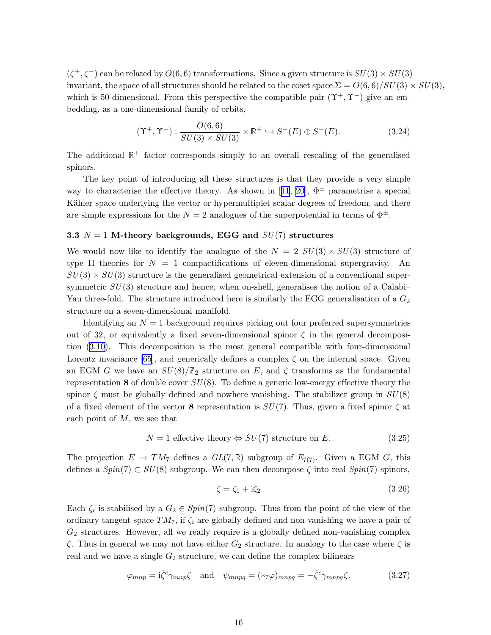<span id="page-16-0"></span> $(\zeta^+, \zeta^-)$  can be related by  $O(6,6)$  transformations. Since a given structure is  $SU(3) \times SU(3)$ invariant, the space of all structures should be related to the coset space  $\Sigma = O(6,6)/SU(3) \times SU(3)$ , which is 50-dimensional. From this perspective the compatible pair  $(\Upsilon^+, \Upsilon^-)$  give an embedding, as a one-dimensional family of orbits,

$$
(\Upsilon^+, \Upsilon^-) : \frac{O(6,6)}{SU(3) \times SU(3)} \times \mathbb{R}^+ \hookrightarrow S^+(E) \oplus S^-(E). \tag{3.24}
$$

The additional  $\mathbb{R}^+$  factor corresponds simply to an overall rescaling of the generalised spinors.

The key point of introducing all these structures is that they provide a very simple wayto characterise the effective theory. As shown in [[11](#page-32-0), [20\]](#page-33-0),  $\Phi^{\pm}$  parametrise a special Kähler space underlying the vector or hypermultiplet scalar degrees of freedom, and there are simple expressions for the  $N = 2$  analogues of the superpotential in terms of  $\Phi^{\pm}$ .

## 3.3  $N = 1$  M-theory backgrounds, EGG and  $SU(7)$  structures

We would now like to identify the analogue of the  $N = 2$   $SU(3) \times SU(3)$  structure of type II theories for  $N = 1$  compactifications of eleven-dimensional supergravity. An  $SU(3) \times SU(3)$  structure is the generalised geometrical extension of a conventional supersymmetric  $SU(3)$  structure and hence, when on-shell, generalises the notion of a Calabi– Yau three-fold. The structure introduced here is similarly the EGG generalisation of a  $G_2$ structure on a seven-dimensional manifold.

Identifying an  $N = 1$  background requires picking out four preferred supersymmetries out of 32, or equivalently a fixed seven-dimensional spinor  $\zeta$  in the general decomposition([3.10\)](#page-13-0). This decomposition is the most general compatible with four-dimensional Lorentz invariance [\[65](#page-35-0)], and generically defines a complex  $\zeta$  on the internal space. Given an EGM G we have an  $SU(8)/\mathbb{Z}_2$  structure on E, and  $\zeta$  transforms as the fundamental representation 8 of double cover  $SU(8)$ . To define a generic low-energy effective theory the spinor  $\zeta$  must be globally defined and nowhere vanishing. The stabilizer group in  $SU(8)$ of a fixed element of the vector 8 representation is  $SU(7)$ . Thus, given a fixed spinor  $\zeta$  at each point of  $M$ , we see that

$$
N = 1 \text{ effective theory} \Leftrightarrow SU(7) \text{ structure on } E. \tag{3.25}
$$

The projection  $E \to TM_7$  defines a  $GL(7,\mathbb{R})$  subgroup of  $E_{7(7)}$ . Given a EGM G, this defines a  $Spin(7) \subset SU(8)$  subgroup. We can then decompose  $\zeta$  into real  $Spin(7)$  spinors,

$$
\zeta = \zeta_1 + i\zeta_2 \tag{3.26}
$$

Each  $\zeta_i$  is stabilised by a  $G_2 \in Spin(7)$  subgroup. Thus from the point of the view of the ordinary tangent space  $TM_7$ , if  $\zeta_i$  are globally defined and non-vanishing we have a pair of  $G_2$  structures. However, all we really require is a globally defined non-vanishing complex  $\zeta$ . Thus in general we may not have either  $G_2$  structure. In analogy to the case where  $\zeta$  is real and we have a single  $G_2$  structure, we can define the complex bilinears

$$
\varphi_{mnp} = i\bar{\zeta}^c \gamma_{mnp} \zeta \quad \text{and} \quad \psi_{mnpq} = (\ast \tau \varphi)_{mnpq} = -\bar{\zeta}^c \gamma_{mnpq} \zeta. \tag{3.27}
$$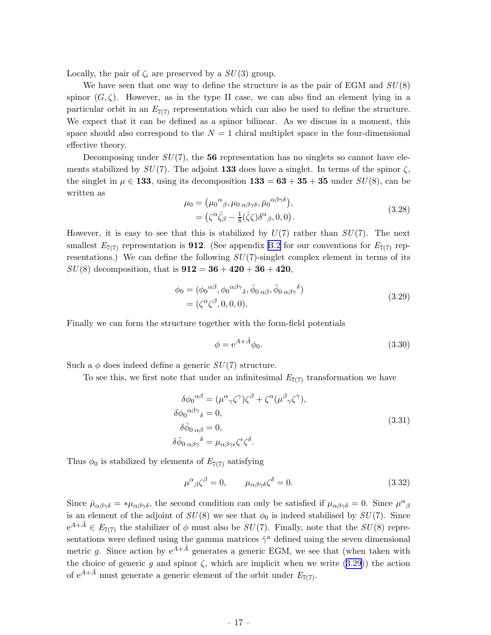<span id="page-17-0"></span>Locally, the pair of  $\zeta_i$  are preserved by a  $SU(3)$  group.

We have seen that one way to define the structure is as the pair of EGM and  $SU(8)$ spinor  $(G,\zeta)$ . However, as in the type II case, we can also find an element lying in a particular orbit in an  $E_{7(7)}$  representation which can also be used to define the structure. We expect that it can be defined as a spinor bilinear. As we discuss in a moment, this space should also correspond to the  $N = 1$  chiral multiplet space in the four-dimensional effective theory.

Decomposing under  $SU(7)$ , the 56 representation has no singlets so cannot have elements stabilized by  $SU(7)$ . The adjoint 133 does have a singlet. In terms of the spinor  $\zeta$ , the singlet in  $\mu \in \mathbf{133}$ , using its decomposition  $\mathbf{133} = \mathbf{63} + \mathbf{35} + \mathbf{35}$  under  $SU(8)$ , can be written as

$$
\mu_0 = (\mu_0{}^{\alpha}{}_{\beta}, \mu_0{}_{\alpha\beta\gamma\delta}, \bar{\mu}_0{}^{\alpha\beta\gamma\delta}), \n= (\zeta^{\alpha}\bar{\zeta}_{\beta} - \frac{1}{8}(\bar{\zeta}\zeta)\delta^{\alpha}{}_{\beta}, 0, 0).
$$
\n(3.28)

However, it is easy to see that this is stabilized by  $U(7)$  rather than  $SU(7)$ . The next smallest  $E_{7(7)}$  representation is **912**. (See appendix [B.2](#page-28-0) for our conventions for  $E_{7(7)}$  representations.) We can define the following  $SU(7)$ -singlet complex element in terms of its  $SU(8)$  decomposition, that is  $912 = 36 + 420 + 36 + 420$ ,

$$
\phi_0 = (\phi_0^{\alpha\beta}, \phi_0^{\alpha\beta\gamma}, \bar{\phi}_0^{\alpha\beta}, \bar{\phi}_0^{\alpha\beta}, \bar{\phi}_0^{\alpha\beta})
$$
\n
$$
= (\zeta^{\alpha}\zeta^{\beta}, 0, 0, 0), \qquad (3.29)
$$

Finally we can form the structure together with the form-field potentials

$$
\phi = e^{A + \tilde{A}} \phi_0. \tag{3.30}
$$

Such a  $\phi$  does indeed define a generic  $SU(7)$  structure.

To see this, we first note that under an infinitesimal  $E_{7(7)}$  transformation we have

$$
\delta\phi_0^{\alpha\beta} = (\mu^{\alpha}{}_{\gamma}\zeta^{\gamma})\zeta^{\beta} + \zeta^{\alpha}(\mu^{\beta}{}_{\gamma}\zeta^{\gamma}),
$$
  
\n
$$
\delta\phi_0^{\alpha\beta\gamma}{}_{\delta} = 0,
$$
  
\n
$$
\delta\bar{\phi}_0{}_{\alpha\beta} = 0,
$$
  
\n
$$
\delta\bar{\phi}_0{}_{\alpha\beta\gamma}{}^{\delta} = \mu_{\alpha\beta\gamma\epsilon}\zeta^{\epsilon}\zeta^{\delta}.
$$
\n(3.31)

Thus  $\phi_0$  is stabilized by elements of  $E_{7(7)}$  satisfying

$$
\mu^{\alpha}{}_{\beta}\zeta^{\beta} = 0, \qquad \mu_{\alpha\beta\gamma\delta}\zeta^{\delta} = 0. \tag{3.32}
$$

Since  $\bar{\mu}_{\alpha\beta\gamma\delta} = * \mu_{\alpha\beta\gamma\delta}$ , the second condition can only be satisfied if  $\mu_{\alpha\beta\gamma\delta} = 0$ . Since  $\mu^{\alpha}{}_{\beta\gamma\delta}$ is an element of the adjoint of  $SU(8)$  we see that  $\phi_0$  is indeed stabilised by  $SU(7)$ . Since  $e^{A+\tilde{A}} \in E_{7(7)}$  the stabilizer of  $\phi$  must also be  $SU(7)$ . Finally, note that the  $SU(8)$  representations were defined using the gamma matrices  $\hat{\gamma}^a$  defined using the seven dimensional metric g. Since action by  $e^{A+\tilde{A}}$  generates a generic EGM, we see that (when taken with the choice of generic g and spinor  $\zeta$ , which are implicit when we write (3.29)) the action of  $e^{A+\tilde{A}}$  must generate a generic element of the orbit under  $E_{7(7)}$ .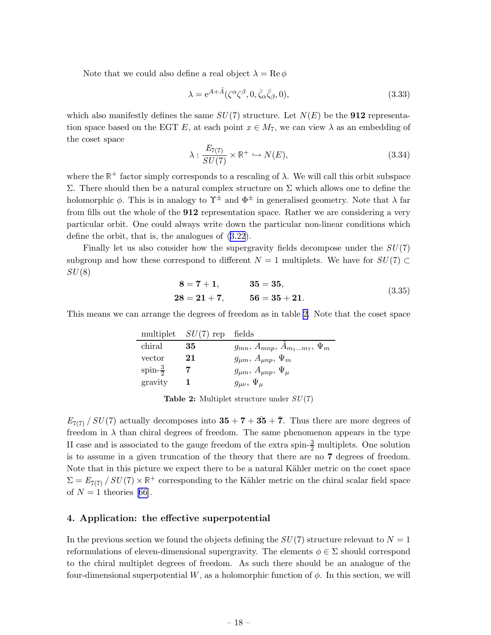<span id="page-18-0"></span>Note that we could also define a real object  $\lambda = \text{Re}\,\phi$ 

$$
\lambda = e^{A + \tilde{A}} (\zeta^{\alpha} \zeta^{\beta}, 0, \bar{\zeta}_{\alpha} \bar{\zeta}_{\beta}, 0), \qquad (3.33)
$$

which also manifestly defines the same  $SU(7)$  structure. Let  $N(E)$  be the **912** representation space based on the EGT E, at each point  $x \in M_7$ , we can view  $\lambda$  as an embedding of the coset space

$$
\lambda: \frac{E_{7(7)}}{SU(7)} \times \mathbb{R}^+ \hookrightarrow N(E),\tag{3.34}
$$

where the  $\mathbb{R}^+$  factor simply corresponds to a rescaling of  $\lambda$ . We will call this orbit subspace Σ. There should then be a natural complex structure on Σ which allows one to define the holomorphic  $\phi$ . This is in analogy to  $\Upsilon^{\pm}$  and  $\Phi^{\pm}$  in generalised geometry. Note that  $\lambda$  far from fills out the whole of the 912 representation space. Rather we are considering a very particular orbit. One could always write down the particular non-linear conditions which define the orbit, that is, the analogues of [\(3.22](#page-15-0)).

Finally let us also consider how the supergravity fields decompose under the  $SU(7)$ subgroup and how these correspond to different  $N = 1$  multiplets. We have for  $SU(7) \subset$  $SU(8)$ 

$$
8 = 7 + 1,
$$
  $35 = 35,$   
 $28 = 21 + 7,$   $56 = 35 + 21.$  (3.35)

This means we can arrange the degrees of freedom as in table 2. Note that the coset space

|                     | multiplet $SU(7)$ rep fields |                                       |
|---------------------|------------------------------|---------------------------------------|
| chiral              | 35                           | $g_{mn}, A_{mnp}, A_{m_1m_7}, \Psi_m$ |
| vector              | 21                           | $g_{\mu m}, A_{\mu n p}, \Psi_m$      |
| spin- $\frac{3}{2}$ |                              | $g_{\mu m}, A_{\mu n p}, \Psi_{\mu}$  |
| gravity             |                              | $g_{\mu\nu},\,\Psi_{\mu}$             |

**Table 2:** Multiplet structure under  $SU(7)$ 

 $E_{7(7)}/SU(7)$  actually decomposes into  $35 + 7 + 3\overline{5} + \overline{7}$ . Thus there are more degrees of freedom in  $\lambda$  than chiral degrees of freedom. The same phenomenon appears in the type II case and is associated to the gauge freedom of the extra spin- $\frac{3}{2}$  multiplets. One solution is to assume in a given truncation of the theory that there are no 7 degrees of freedom. Note that in this picture we expect there to be a natural Kähler metric on the coset space  $\Sigma = E_{7(7)}/SU(7) \times \mathbb{R}^+$  corresponding to the Kähler metric on the chiral scalar field space of  $N = 1$  theories [\[66\]](#page-35-0).

## 4. Application: the effective superpotential

In the previous section we found the objects defining the  $SU(7)$  structure relevant to  $N = 1$ reformulations of eleven-dimensional supergravity. The elements  $\phi \in \Sigma$  should correspond to the chiral multiplet degrees of freedom. As such there should be an analogue of the four-dimensional superpotential W, as a holomorphic function of  $\phi$ . In this section, we will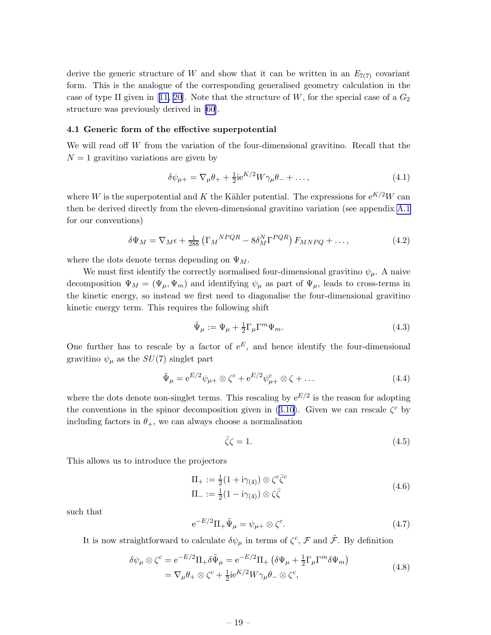<span id="page-19-0"></span>derive the generic structure of W and show that it can be written in an  $E_{7(7)}$  covariant form. This is the analogue of the corresponding generalised geometry calculation in the caseof type II given in [[11,](#page-32-0) [20](#page-33-0)]. Note that the structure of W, for the special case of a  $G_2$ structure was previously derived in [\[60](#page-35-0)].

#### 4.1 Generic form of the effective superpotential

We will read off  $W$  from the variation of the four-dimensional gravitino. Recall that the  $N = 1$  gravitino variations are given by

$$
\delta\psi_{\mu+} = \nabla_{\mu}\theta_{+} + \frac{1}{2}ie^{K/2}W\gamma_{\mu}\theta_{-} + \dots,
$$
\n(4.1)

where W is the superpotential and K the Kähler potential. The expressions for  $e^{K/2}W$  can then be derived directly from the eleven-dimensional gravitino variation (see appendix [A.1](#page-25-0) for our conventions)

$$
\delta\Psi_M = \nabla_M \epsilon + \frac{1}{288} \left( \Gamma_M{}^{NPQR} - 8\delta_M^N \Gamma^{PQR} \right) F_{MNPQ} + \dots,\tag{4.2}
$$

where the dots denote terms depending on  $\Psi_M$ .

We must first identify the correctly normalised four-dimensional gravitino  $\psi_{\mu}$ . A naive decomposition  $\Psi_M = (\Psi_\mu, \Psi_m)$  and identifying  $\psi_\mu$  as part of  $\Psi_\mu$ , leads to cross-terms in the kinetic energy, so instead we first need to diagonalise the four-dimensional gravitino kinetic energy term. This requires the following shift

$$
\tilde{\Psi}_{\mu} := \Psi_{\mu} + \frac{1}{2} \Gamma_{\mu} \Gamma^{m} \Psi_{m}.
$$
\n(4.3)

One further has to rescale by a factor of  $e^E$ , and hence identify the four-dimensional gravitino  $\psi_{\mu}$  as the  $SU(7)$  singlet part

$$
\tilde{\Psi}_{\mu} = e^{E/2} \psi_{\mu+} \otimes \zeta^{c} + e^{E/2} \psi_{\mu+}^{c} \otimes \zeta + \dots \tag{4.4}
$$

where the dots denote non-singlet terms. This rescaling by  $e^{E/2}$  is the reason for adopting theconventions in the spinor decomposition given in ([3.10\)](#page-13-0). Given we can rescale  $\zeta^c$  by including factors in  $\theta_+$ , we can always choose a normalisation

$$
\bar{\zeta}\zeta = 1.\tag{4.5}
$$

This allows us to introduce the projectors

$$
\Pi_{+} := \frac{1}{2} (1 + i\gamma_{(4)}) \otimes \zeta^{c} \bar{\zeta}^{c}
$$
\n
$$
\Pi_{-} := \frac{1}{2} (1 - i\gamma_{(4)}) \otimes \zeta \bar{\zeta}
$$
\n
$$
(4.6)
$$

such that

$$
e^{-E/2}\Pi_+\tilde{\Psi}_\mu = \psi_{\mu+} \otimes \zeta^c. \tag{4.7}
$$

It is now straightforward to calculate  $\delta\psi_\mu$  in terms of  $\zeta^c$ ,  $\mathcal F$  and  $\tilde{\mathcal F}$ . By definition

$$
\delta\psi_{\mu}\otimes\zeta^{c} = e^{-E/2}\Pi_{+}\delta\tilde{\Psi}_{\mu} = e^{-E/2}\Pi_{+}\left(\delta\Psi_{\mu} + \frac{1}{2}\Gamma_{\mu}\Gamma^{m}\delta\Psi_{m}\right)
$$

$$
= \nabla_{\mu}\theta_{+}\otimes\zeta^{c} + \frac{1}{2}ie^{K/2}W\gamma_{\mu}\theta_{-}\otimes\zeta^{c},
$$
(4.8)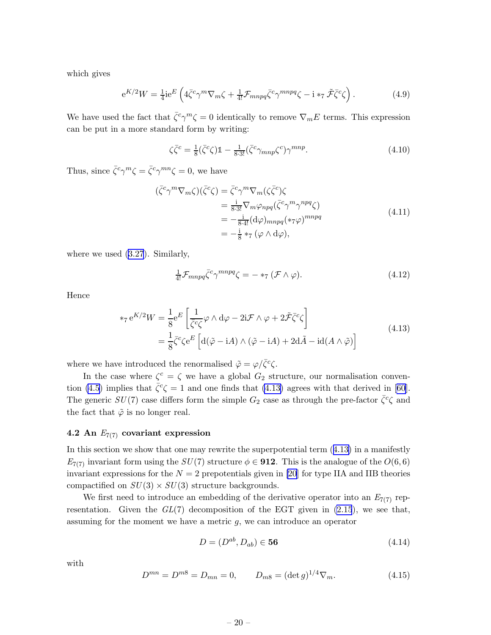<span id="page-20-0"></span>which gives

$$
e^{K/2}W = \frac{1}{4}ie^{E}\left(4\bar{\zeta}^{c}\gamma^{m}\nabla_{m}\zeta + \frac{1}{4!}\mathcal{F}_{mnpq}\bar{\zeta}^{c}\gamma^{mnpq}\zeta - i*\tau\,\tilde{\mathcal{F}}\bar{\zeta}^{c}\zeta\right). \tag{4.9}
$$

We have used the fact that  $\bar{\zeta}^c \gamma^m \zeta = 0$  identically to remove  $\nabla_m E$  terms. This expression can be put in a more standard form by writing:

$$
\zeta \bar{\zeta}^c = \frac{1}{8} (\bar{\zeta}^c \zeta) \mathbb{1} - \frac{1}{8 \cdot 3!} (\bar{\zeta}^c \gamma_{mnp} \zeta^c) \gamma^{mnp}.
$$
\n(4.10)

Thus, since  $\bar{\zeta}^c \gamma^m \zeta = \bar{\zeta}^c \gamma^{mn} \zeta = 0$ , we have

$$
\begin{aligned}\n(\bar{\zeta}^c \gamma^m \nabla_m \zeta)(\bar{\zeta}^c \zeta) &= \bar{\zeta}^c \gamma^m \nabla_m (\zeta \bar{\zeta}^c) \zeta \\
&= \frac{\mathbf{i}}{8 \cdot 3!} \nabla_m \varphi_{npq} (\bar{\zeta}^c \gamma^m \gamma^{npq} \zeta) \\
&= -\frac{\mathbf{i}}{8 \cdot 4!} (\mathbf{d}\varphi)_{mnpq} (\ast \tau \varphi)^{mnpq} \\
&= -\frac{\mathbf{i}}{8} \ast \tau (\varphi \wedge \mathbf{d}\varphi),\n\end{aligned} \tag{4.11}
$$

where we used [\(3.27](#page-16-0)). Similarly,

$$
\frac{1}{4!} \mathcal{F}_{mnpq} \bar{\zeta}^c \gamma^{mnpq} \zeta = -\ast_7 (\mathcal{F} \wedge \varphi). \tag{4.12}
$$

Hence

$$
*_7 e^{K/2} W = \frac{1}{8} e^{E} \left[ \frac{1}{\bar{\zeta}^c \zeta} \varphi \wedge d\varphi - 2i \mathcal{F} \wedge \varphi + 2 \tilde{\mathcal{F}} \bar{\zeta}^c \zeta \right]
$$
  

$$
= \frac{1}{8} \bar{\zeta}^c \zeta e^{E} \left[ d(\tilde{\varphi} - iA) \wedge (\tilde{\varphi} - iA) + 2d\tilde{A} - id(A \wedge \tilde{\varphi}) \right]
$$
(4.13)

where we have introduced the renormalised  $\tilde{\varphi} = \varphi / \bar{\zeta}^c \zeta$ .

In the case where  $\zeta^c = \zeta$  we have a global  $G_2$  structure, our normalisation conven-tion [\(4.5](#page-19-0))implies that  $\bar{\zeta}^c \zeta = 1$  and one finds that (4.13) agrees with that derived in [[60\]](#page-35-0). The generic  $SU(7)$  case differs form the simple  $G_2$  case as through the pre-factor  $\bar{\zeta}^c \zeta$  and the fact that  $\tilde{\varphi}$  is no longer real.

#### 4.2 An  $E_{7(7)}$  covariant expression

In this section we show that one may rewrite the superpotential term  $(4.13)$  in a manifestly  $E_{7(7)}$  invariant form using the  $SU(7)$  structure  $\phi \in \mathbf{912}$ . This is the analogue of the  $O(6,6)$ invariant expressions for the  $N = 2$  prepotentials given in [\[20](#page-33-0)] for type IIA and IIB theories compactified on  $SU(3) \times SU(3)$  structure backgrounds.

We first need to introduce an embedding of the derivative operator into an  $E_{7(7)}$  representation. Given the  $GL(7)$  decomposition of the EGT given in [\(2.15](#page-6-0)), we see that, assuming for the moment we have a metric g, we can introduce an operator

$$
D = (D^{ab}, D_{ab}) \in \mathbf{56} \tag{4.14}
$$

with

$$
D^{mn} = D^{m8} = D_{mn} = 0, \qquad D_{m8} = (\det g)^{1/4} \nabla_m.
$$
 (4.15)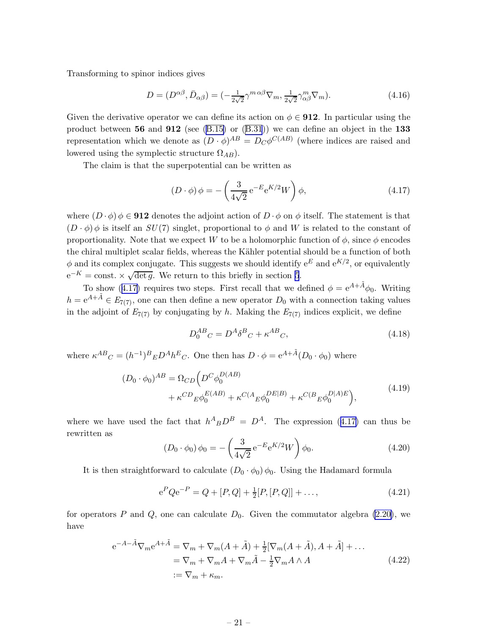<span id="page-21-0"></span>Transforming to spinor indices gives

$$
D = (D^{\alpha\beta}, \bar{D}_{\alpha\beta}) = \left(-\frac{1}{2\sqrt{2}}\gamma^{m\alpha\beta}\nabla_m, \frac{1}{2\sqrt{2}}\gamma^m_{\alpha\beta}\nabla_m\right). \tag{4.16}
$$

Given the derivative operator we can define its action on  $\phi \in \mathbf{912}$ . In particular using the productbetween  $56$  and  $912$  (see [\(B.15\)](#page-29-0) or ([B.31](#page-31-0))) we can define an object in the 133 representation which we denote as  $(D \cdot \phi)^{AB} = D_C \phi^{C(AB)}$  (where indices are raised and lowered using the symplectic structure  $\Omega_{AB}$ ).

The claim is that the superpotential can be written as

$$
(D \cdot \phi) \phi = -\left(\frac{3}{4\sqrt{2}} e^{-E} e^{K/2} W\right) \phi,
$$
\n(4.17)

where  $(D \cdot \phi)$   $\phi \in \mathbf{912}$  denotes the adjoint action of  $D \cdot \phi$  on  $\phi$  itself. The statement is that  $(D \cdot \phi)$   $\phi$  is itself an  $SU(7)$  singlet, proportional to  $\phi$  and W is related to the constant of proportionality. Note that we expect W to be a holomorphic function of  $\phi$ , since  $\phi$  encodes the chiral multiplet scalar fields, whereas the Kähler potential should be a function of both  $\phi$  and its complex conjugate. This suggests we should identify  $e^E$  and  $e^{K/2}$ , or equivalently  $e^{-K} = \text{const.} \times \sqrt{\det g}$ . We return to this briefly in section [5](#page-23-0).

To show (4.17) requires two steps. First recall that we defined  $\phi = e^{A+\tilde{A}}\phi_0$ . Writing  $h = e^{A + \tilde{A}} \in E_{7(7)}$ , one can then define a new operator  $D_0$  with a connection taking values in the adjoint of  $E_{7(7)}$  by conjugating by h. Making the  $E_{7(7)}$  indices explicit, we define

$$
D_0^{AB}{}_C = D^A \delta^B{}_C + \kappa^{AB}{}_C,\tag{4.18}
$$

where  $\kappa^{AB}_{\quad C} = (h^{-1})^B{}_E D^A h^E{}_C$ . One then has  $D \cdot \phi = e^{A + \tilde{A}} (D_0 \cdot \phi_0)$  where

$$
(D_0 \cdot \phi_0)^{AB} = \Omega_{CD} \Big( D^C \phi_0^{D(AB)} + \kappa^{C(A} B^{\phi_0^{DE|B})} + \kappa^{C(B} B^{\phi_0^{D|A)E}} \Big), \tag{4.19}
$$

where we have used the fact that  $h^{A}{}_{B}D^{B} = D^{A}$ . The expression (4.17) can thus be rewritten as

$$
(D_0 \cdot \phi_0) \phi_0 = -\left(\frac{3}{4\sqrt{2}} e^{-E} e^{K/2} W\right) \phi_0.
$$
 (4.20)

It is then straightforward to calculate  $(D_0 \cdot \phi_0) \phi_0$ . Using the Hadamard formula

$$
e^{P} Q e^{-P} = Q + [P, Q] + \frac{1}{2} [P, [P, Q]] + ..., \qquad (4.21)
$$

for operators P and Q, one can calculate  $D_0$ . Given the commutator algebra [\(2.20\)](#page-7-0), we have

$$
e^{-A-\tilde{A}}\nabla_m e^{A+\tilde{A}} = \nabla_m + \nabla_m (A+\tilde{A}) + \frac{1}{2} [\nabla_m (A+\tilde{A}), A+\tilde{A}] + \dots
$$
  

$$
= \nabla_m + \nabla_m A + \nabla_m \tilde{A} - \frac{1}{2} \nabla_m A \wedge A
$$
  

$$
:= \nabla_m + \kappa_m.
$$
 (4.22)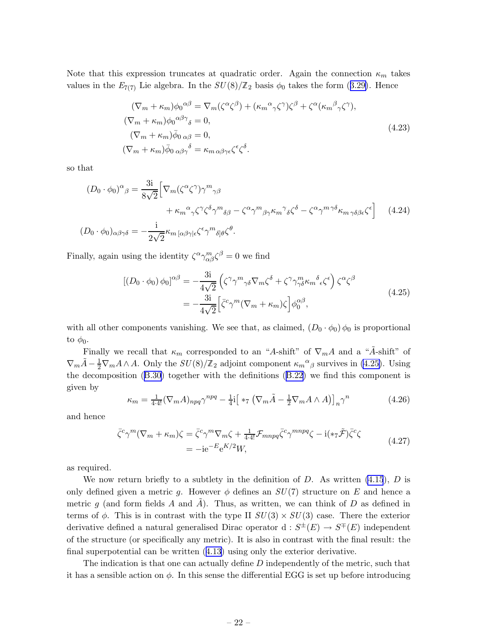Note that this expression truncates at quadratic order. Again the connection  $\kappa_m$  takes valuesin the  $E_{7(7)}$  Lie algebra. In the  $SU(8)/\mathbb{Z}_2$  basis  $\phi_0$  takes the form ([3.29\)](#page-17-0). Hence

$$
(\nabla_m + \kappa_m) \phi_0^{\alpha \beta} = \nabla_m (\zeta^{\alpha} \zeta^{\beta}) + (\kappa_m^{\alpha} \gamma \zeta^{\gamma}) \zeta^{\beta} + \zeta^{\alpha} (\kappa_m^{\beta} \gamma \zeta^{\gamma}),
$$
  
\n
$$
(\nabla_m + \kappa_m) \phi_0^{\alpha \beta \gamma}{}_{\delta} = 0,
$$
  
\n
$$
(\nabla_m + \kappa_m) \bar{\phi}_0 \,{}_{\alpha \beta} = 0,
$$
  
\n
$$
(\nabla_m + \kappa_m) \bar{\phi}_0 \,{}_{\alpha \beta \gamma}{}_{\delta} = \kappa_{m \alpha \beta \gamma \epsilon} \zeta^{\epsilon} \zeta^{\delta}.
$$
\n(4.23)

so that

$$
(D_0 \cdot \phi_0)^{\alpha}{}_{\beta} = \frac{3i}{8\sqrt{2}} \Big[ \nabla_m (\zeta^{\alpha} \zeta^{\gamma}) \gamma^m{}_{\gamma\beta} + \kappa_m{}^{\alpha}{}_{\gamma} \zeta^{\gamma} \zeta^{\delta} \gamma^m{}_{\delta\beta} - \zeta^{\alpha} \gamma^m{}_{\beta}{}_{\gamma} \kappa_m{}^{\gamma}{}_{\delta} \zeta^{\delta} - \zeta^{\alpha} \gamma^m{}^{\gamma\delta} \kappa_m{}_{\gamma\delta\beta\epsilon} \zeta^{\epsilon} \Big] \quad (4.24)
$$
  

$$
(D_0 \cdot \phi_0)_{\alpha\beta\gamma\delta} = -\frac{i}{2\sqrt{2}} \kappa_m{}_{[\alpha\beta\gamma]\epsilon} \zeta^{\epsilon} \gamma^m{}_{\delta]\beta} \zeta^{\theta}.
$$

Finally, again using the identity  $\zeta^{\alpha} \gamma_{\alpha\beta}^{m} \zeta^{\beta} = 0$  we find

$$
[(D_0 \cdot \phi_0) \phi_0]^{\alpha \beta} = -\frac{3i}{4\sqrt{2}} \left( \zeta^\gamma \gamma^m{}_{\gamma \delta} \nabla_m \zeta^\delta + \zeta^\gamma \gamma^m_{\gamma \delta} \kappa_m{}^\delta \epsilon \zeta^\epsilon \right) \zeta^\alpha \zeta^\beta
$$
  
= 
$$
-\frac{3i}{4\sqrt{2}} \left[ \bar{\zeta}^c \gamma^m (\nabla_m + \kappa_m) \zeta \right] \phi_0^{\alpha \beta}, \tag{4.25}
$$

with all other components vanishing. We see that, as claimed,  $(D_0 \cdot \phi_0)$   $\phi_0$  is proportional to  $\phi_0$ .

Finally we recall that  $\kappa_m$  corresponded to an "A-shift" of  $\nabla_m A$  and a "A-shift" of  $\nabla_m \tilde{A} - \frac{1}{2} \nabla_m A \wedge A$ . Only the  $SU(8)/\mathbb{Z}_2$  adjoint component  $\kappa_m{}^{\alpha}{}_{\beta}$  survives in (4.25). Using the decomposition([B.30](#page-31-0)) together with the definitions([B.22](#page-30-0)) we find this component is given by

$$
\kappa_m = \frac{1}{4 \cdot 4!} (\nabla_m A)_{npq} \gamma^{npq} - \frac{1}{4} \mathbf{i} \left[ *_{7} (\nabla_m \tilde{A} - \frac{1}{2} \nabla_m A \wedge A) \right]_n \gamma^n \tag{4.26}
$$

and hence

$$
\bar{\zeta}^c \gamma^m (\nabla_m + \kappa_m) \zeta = \bar{\zeta}^c \gamma^m \nabla_m \zeta + \frac{1}{4 \cdot 4!} \mathcal{F}_{mnpq} \bar{\zeta}^c \gamma^{mnpq} \zeta - i(\ast_7 \tilde{\mathcal{F}}) \bar{\zeta}^c \zeta
$$
\n
$$
= -ie^{-E} e^{K/2} W,
$$
\n(4.27)

as required.

We now return briefly to a subtlety in the definition of  $D$ . As written [\(4.15](#page-20-0)),  $D$  is only defined given a metric g. However  $\phi$  defines an  $SU(7)$  structure on E and hence a metric g (and form fields A and A). Thus, as written, we can think of D as defined in terms of  $\phi$ . This is in contrast with the type II  $SU(3) \times SU(3)$  case. There the exterior derivative defined a natural generalised Dirac operator  $d: S^{\pm}(E) \to S^{\mp}(E)$  independent of the structure (or specifically any metric). It is also in contrast with the final result: the final superpotential can be written([4.13](#page-20-0)) using only the exterior derivative.

The indication is that one can actually define D independently of the metric, such that it has a sensible action on  $\phi$ . In this sense the differential EGG is set up before introducing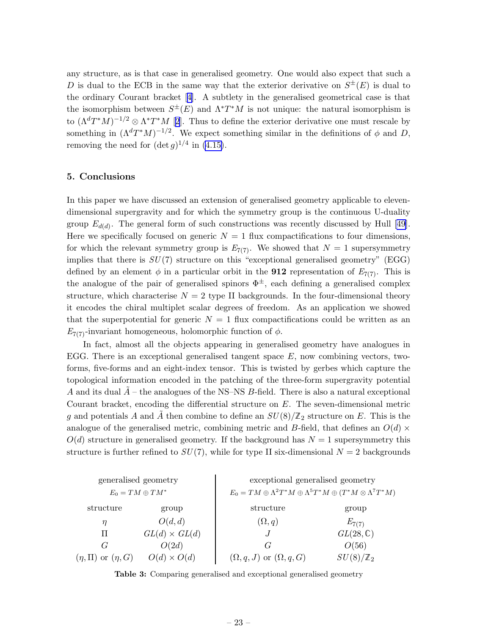<span id="page-23-0"></span>any structure, as is that case in generalised geometry. One would also expect that such a D is dual to the ECB in the same way that the exterior derivative on  $S^{\pm}(E)$  is dual to the ordinary Courant bracket[[4](#page-32-0)]. A subtlety in the generalised geometrical case is that the isomorphism between  $S^{\pm}(E)$  and  $\Lambda^*T^*M$  is not unique: the natural isomorphism is to  $(\Lambda^d T^*M)^{-1/2} \otimes \Lambda^* T^*M$  $(\Lambda^d T^*M)^{-1/2} \otimes \Lambda^* T^*M$  $(\Lambda^d T^*M)^{-1/2} \otimes \Lambda^* T^*M$  [2]. Thus to define the exterior derivative one must rescale by something in  $(\Lambda^d T^*M)^{-1/2}$ . We expect something similar in the definitions of  $\phi$  and D, removing the need for  $(\det g)^{1/4}$  in  $(4.15)$ .

## 5. Conclusions

In this paper we have discussed an extension of generalised geometry applicable to elevendimensional supergravity and for which the symmetry group is the continuous U-duality group $E_{d(d)}$ . The general form of such constructions was recently discussed by Hull [[49\]](#page-34-0). Here we specifically focused on generic  $N = 1$  flux compactifications to four dimensions, for which the relevant symmetry group is  $E_{7(7)}$ . We showed that  $N = 1$  supersymmetry implies that there is  $SU(7)$  structure on this "exceptional generalised geometry" (EGG) defined by an element  $\phi$  in a particular orbit in the **912** representation of  $E_{7(7)}$ . This is the analogue of the pair of generalised spinors  $\Phi^{\pm}$ , each defining a generalised complex structure, which characterise  $N = 2$  type II backgrounds. In the four-dimensional theory it encodes the chiral multiplet scalar degrees of freedom. As an application we showed that the superpotential for generic  $N = 1$  flux compactifications could be written as an  $E_{7(7)}$ -invariant homogeneous, holomorphic function of  $\phi$ .

In fact, almost all the objects appearing in generalised geometry have analogues in EGG. There is an exceptional generalised tangent space  $E$ , now combining vectors, twoforms, five-forms and an eight-index tensor. This is twisted by gerbes which capture the topological information encoded in the patching of the three-form supergravity potential A and its dual  $A$  – the analogues of the NS–NS B-field. There is also a natural exceptional Courant bracket, encoding the differential structure on E. The seven-dimensional metric g and potentials A and A then combine to define an  $SU(8)/\mathbb{Z}_2$  structure on E. This is the analogue of the generalised metric, combining metric and B-field, that defines an  $O(d) \times$  $O(d)$  structure in generalised geometry. If the background has  $N = 1$  supersymmetry this structure is further refined to  $SU(7)$ , while for type II six-dimensional  $N=2$  backgrounds

| generalised geometry         |                      | exceptional generalised geometry                                                            |                      |  |
|------------------------------|----------------------|---------------------------------------------------------------------------------------------|----------------------|--|
| $E_0 = TM \oplus TM^*$       |                      | $E_0 = TM \oplus \Lambda^2 T^*M \oplus \Lambda^5 T^*M \oplus (T^*M \otimes \Lambda^7 T^*M)$ |                      |  |
| structure                    | group                | structure                                                                                   | group                |  |
| $\eta$                       | O(d,d)               | $(\Omega, q)$                                                                               | $E_{7(7)}$           |  |
| Π                            | $GL(d) \times GL(d)$ | $\cdot$                                                                                     | $GL(28,\mathbb{C})$  |  |
| G                            | O(2d)                | G                                                                                           | O(56)                |  |
| $(\eta, \Pi)$ or $(\eta, G)$ | $O(d) \times O(d)$   | $(\Omega, q, J)$ or $(\Omega, q, G)$                                                        | $SU(8)/\mathbb{Z}_2$ |  |

Table 3: Comparing generalised and exceptional generalised geometry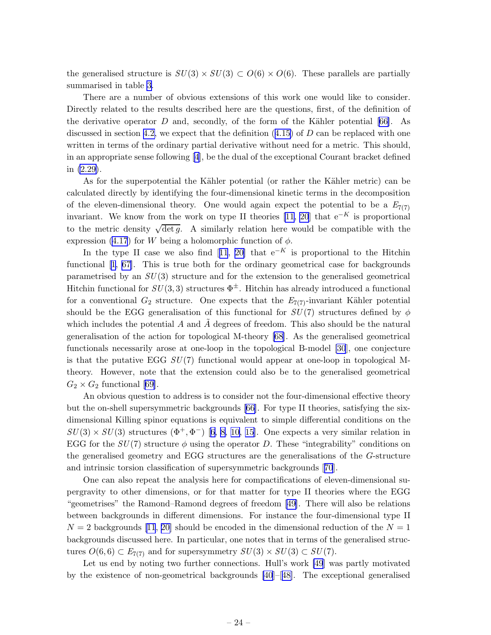the generalised structure is  $SU(3) \times SU(3) \subset O(6) \times O(6)$ . These parallels are partially summarised in table [3.](#page-23-0)

There are a number of obvious extensions of this work one would like to consider. Directly related to the results described here are the questions, first, of the definition of the derivative operator  $D$  and, secondly, of the form of the Kähler potential [\[66](#page-35-0)]. As discussed in section [4.2,](#page-20-0)we expect that the definition  $(4.15)$  $(4.15)$  $(4.15)$  of D can be replaced with one written in terms of the ordinary partial derivative without need for a metric. This should, in an appropriate sense following[[4](#page-32-0)], be the dual of the exceptional Courant bracket defined in [\(2.29\)](#page-9-0).

As for the superpotential the Kähler potential (or rather the Kähler metric) can be calculated directly by identifying the four-dimensional kinetic terms in the decomposition of the eleven-dimensional theory. One would again expect the potential to be a  $E_{7(7)}$ invariant. We know from the work on type II theories [\[11](#page-32-0), [20](#page-33-0)] that  $e^{-K}$  is proportional to the metric density  $\sqrt{\det g}$ . A similarly relation here would be compatible with the expression [\(4.17](#page-21-0)) for W being a holomorphic function of  $\phi$ .

Inthe type II case we also find [[11](#page-32-0), [20\]](#page-33-0) that  $e^{-K}$  is proportional to the Hitchin functional[[1](#page-32-0), [67](#page-35-0)]. This is true both for the ordinary geometrical case for backgrounds parametrised by an  $SU(3)$  structure and for the extension to the generalised geometrical Hitchin functional for  $SU(3,3)$  structures  $\Phi^{\pm}$ . Hitchin has already introduced a functional for a conventional  $G_2$  structure. One expects that the  $E_{7(7)}$ -invariant Kähler potential should be the EGG generalisation of this functional for  $SU(7)$  structures defined by  $\phi$ which includes the potential  $A$  and  $A$  degrees of freedom. This also should be the natural generalisation of the action for topological M-theory [\[68](#page-35-0)]. As the generalised geometrical functionals necessarily arose at one-loop in the topological B-model [\[30](#page-33-0)], one conjecture is that the putative EGG  $SU(7)$  functional would appear at one-loop in topological Mtheory. However, note that the extension could also be to the generalised geometrical  $G_2 \times G_2$  functional [\[69](#page-35-0)].

An obvious question to address is to consider not the four-dimensional effective theory but the on-shell supersymmetric backgrounds[[66\]](#page-35-0). For type II theories, satisfying the sixdimensional Killing spinor equations is equivalent to simple differential conditions on the  $SU(3) \times SU(3)$  $SU(3) \times SU(3)$  $SU(3) \times SU(3)$  structures  $(\Phi^+, \Phi^-)$  [[6](#page-32-0), [8, 10, 15\]](#page-32-0). One expects a very similar relation in EGG for the  $SU(7)$  structure  $\phi$  using the operator D. These "integrability" conditions on the generalised geometry and EGG structures are the generalisations of the G-structure and intrinsic torsion classification of supersymmetric backgrounds[[70](#page-35-0)].

One can also repeat the analysis here for compactifications of eleven-dimensional supergravity to other dimensions, or for that matter for type II theories where the EGG "geometrises" the Ramond–Ramond degrees of freedom [\[49\]](#page-34-0). There will also be relations between backgrounds in different dimensions. For instance the four-dimensional type II  $N = 2$  backgrounds [\[11](#page-32-0), [20\]](#page-33-0) should be encoded in the dimensional reduction of the  $N = 1$ backgrounds discussed here. In particular, one notes that in terms of the generalised structures  $O(6,6) \subset E_{7(7)}$  and for supersymmetry  $SU(3) \times SU(3) \subset SU(7)$ .

Let us end by noting two further connections. Hull's work [\[49](#page-34-0)] was partly motivated by the existence of non-geometrical backgrounds [\[40](#page-34-0)]–[[48\]](#page-34-0). The exceptional generalised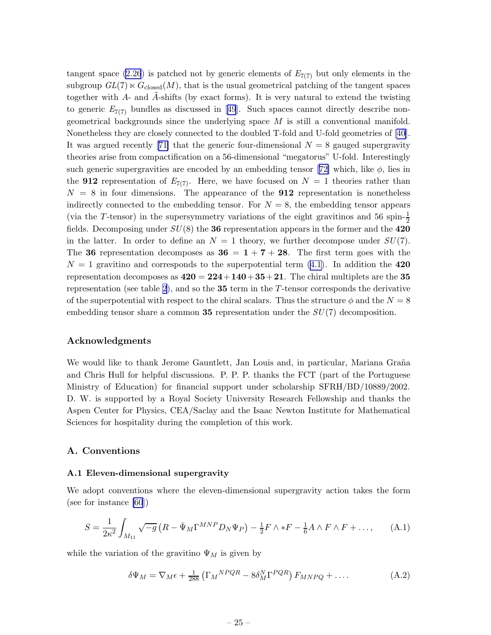<span id="page-25-0"></span>tangent space [\(2.26](#page-8-0)) is patched not by generic elements of  $E_{7(7)}$  but only elements in the subgroup  $GL(7) \ltimes G_{closed}(M)$ , that is the usual geometrical patching of the tangent spaces together with A- and A-shifts (by exact forms). It is very natural to extend the twisting togeneric  $E_{7(7)}$  bundles as discussed in [[49](#page-34-0)]. Such spaces cannot directly describe nongeometrical backgrounds since the underlying space  $M$  is still a conventional manifold. Nonetheless they are closely connected to the doubled T-fold and U-fold geometries of[[40\]](#page-34-0). Itwas argued recently [[71\]](#page-35-0) that the generic four-dimensional  $N = 8$  gauged supergravity theories arise from compactification on a 56-dimensional "megatorus" U-fold. Interestingly suchgeneric supergravities are encoded by an embedding tensor [[72\]](#page-35-0) which, like  $\phi$ , lies in the **912** representation of  $E_{7(7)}$ . Here, we have focused on  $N = 1$  theories rather than  $N = 8$  in four dimensions. The appearance of the **912** representation is nonetheless indirectly connected to the embedding tensor. For  $N = 8$ , the embedding tensor appears (via the T-tensor) in the supersymmetry variations of the eight gravitinos and 56 spin- $\frac{1}{2}$ fields. Decomposing under  $SU(8)$  the 36 representation appears in the former and the 420 in the latter. In order to define an  $N = 1$  theory, we further decompose under  $SU(7)$ . The 36 representation decomposes as  $36 = 1 + 7 + 28$ . The first term goes with the  $N = 1$  gravitino and corresponds to the superpotential term  $(4.1)$ . In addition the 420 representation decomposes as  $420 = 224 + 140 + 35 + 21$ . The chiral multiplets are the 35 representation (see table [2](#page-18-0)), and so the  $35$  term in the T-tensor corresponds the derivative of the superpotential with respect to the chiral scalars. Thus the structure  $\phi$  and the  $N = 8$ embedding tensor share a common 35 representation under the  $SU(7)$  decomposition.

#### Acknowledgments

We would like to thank Jerome Gauntlett, Jan Louis and, in particular, Mariana Graña and Chris Hull for helpful discussions. P. P. P. thanks the FCT (part of the Portuguese Ministry of Education) for financial support under scholarship SFRH/BD/10889/2002. D. W. is supported by a Royal Society University Research Fellowship and thanks the Aspen Center for Physics, CEA/Saclay and the Isaac Newton Institute for Mathematical Sciences for hospitality during the completion of this work.

## A. Conventions

#### A.1 Eleven-dimensional supergravity

We adopt conventions where the eleven-dimensional supergravity action takes the form (see for instance [\[60](#page-35-0)])

$$
S = \frac{1}{2\kappa^2} \int_{M_{11}} \sqrt{-g} \left( R - \bar{\Psi}_M \Gamma^{MNP} D_N \Psi_P \right) - \frac{1}{2} F \wedge *F - \frac{1}{6} A \wedge F \wedge F + \dots, \tag{A.1}
$$

while the variation of the gravitino  $\Psi_M$  is given by

$$
\delta\Psi_M = \nabla_M \epsilon + \frac{1}{288} \left( \Gamma_M{}^{NPQR} - 8\delta_M^N \Gamma^{PQR} \right) F_{MNPQ} + \dots \tag{A.2}
$$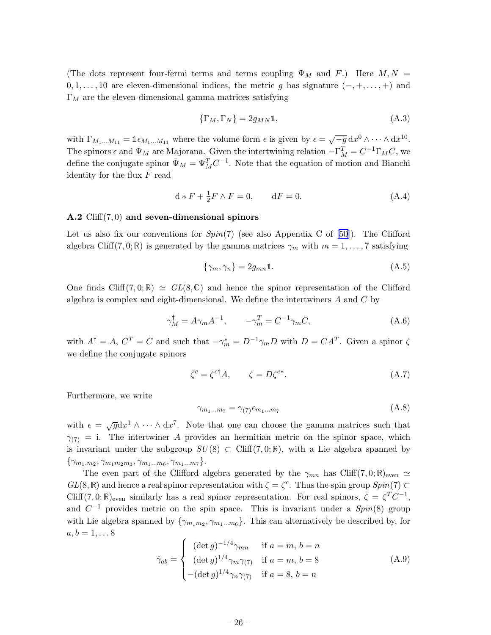<span id="page-26-0"></span>(The dots represent four-fermi terms and terms coupling  $\Psi_M$  and F.) Here  $M, N =$  $0, 1, \ldots, 10$  are eleven-dimensional indices, the metric g has signature  $(-, +, \ldots, +)$  and  $\Gamma_M$  are the eleven-dimensional gamma matrices satisfying

$$
\{\Gamma_M, \Gamma_N\} = 2g_{MN}\mathbb{1},\tag{A.3}
$$

with  $\Gamma_{M_1...M_{11}} = \mathbb{1}_{\epsilon_{M_1...M_{11}}}$  where the volume form  $\epsilon$  is given by  $\epsilon = \sqrt{-g} \, dx^0 \wedge \cdots \wedge dx^{10}$ . The spinors  $\epsilon$  and  $\Psi_M$  are Majorana. Given the intertwining relation  $-\Gamma_M^T = C^{-1}\Gamma_M C$ , we define the conjugate spinor  $\bar{\Psi}_M = \Psi_M^T C^{-1}$ . Note that the equation of motion and Bianchi identity for the flux  $F$  read

$$
d * F + \frac{1}{2}F \wedge F = 0, \qquad dF = 0.
$$
 (A.4)

## A.2  $Cliff(7,0)$  and seven-dimensional spinors

Let us also fix our conventions for  $Spin(7)$  (see also Appendix C of [\[50](#page-34-0)]). The Clifford algebra Cliff(7,0; R) is generated by the gamma matrices  $\gamma_m$  with  $m = 1, \ldots, 7$  satisfying

$$
\{\gamma_m, \gamma_n\} = 2g_{mn}\mathbb{1}.\tag{A.5}
$$

One finds Cliff(7,0; R)  $\approx GL(8,\mathbb{C})$  and hence the spinor representation of the Clifford algebra is complex and eight-dimensional. We define the intertwiners  $A$  and  $C$  by

$$
\gamma_M^{\dagger} = A \gamma_m A^{-1}, \qquad -\gamma_m^T = C^{-1} \gamma_m C, \qquad (A.6)
$$

with  $A^{\dagger} = A$ ,  $C^{T} = C$  and such that  $-\gamma_{m}^{*} = D^{-1}\gamma_{m}D$  with  $D = CA^{T}$ . Given a spinor  $\zeta$ we define the conjugate spinors

$$
\bar{\zeta}^c = \zeta^{c\dagger} A, \qquad \zeta = D\zeta^{c*}.
$$
\n(A.7)

Furthermore, we write

$$
\gamma_{m_1...m_7} = \gamma_{(7)} \epsilon_{m_1...m_7} \tag{A.8}
$$

with  $\epsilon = \sqrt{g} dx^1 \wedge \cdots \wedge dx^7$ . Note that one can choose the gamma matrices such that  $\gamma_{(7)} = i$ . The intertwiner A provides an hermitian metric on the spinor space, which is invariant under the subgroup  $SU(8) \subset \text{Cliff}(7,0;\mathbb{R})$ , with a Lie algebra spanned by  $\{\gamma_{m_1,m_2},\gamma_{m_1m_2m_3},\gamma_{m_1...m_6},\gamma_{m_1...m_7}\}.$ 

The even part of the Clifford algebra generated by the  $\gamma_{mn}$  has Cliff(7,0; R)<sub>even</sub>  $\simeq$  $GL(8,\mathbb{R})$  and hence a real spinor representation with  $\zeta = \zeta^c$ . Thus the spin group  $Spin(7) \subset$ Cliff(7,0; R)<sub>even</sub> similarly has a real spinor representation. For real spinors,  $\bar{\zeta} = \zeta^T C^{-1}$ , and  $C^{-1}$  provides metric on the spin space. This is invariant under a  $Spin(8)$  group with Lie algebra spanned by  $\{\gamma_{m_1m_2}, \gamma_{m_1...m_6}\}$ . This can alternatively be described by, for  $a,b=1,\ldots 8$ 

$$
\hat{\gamma}_{ab} = \begin{cases}\n(\det g)^{-1/4} \gamma_{mn} & \text{if } a = m, b = n \\
(\det g)^{1/4} \gamma_m \gamma_{(7)} & \text{if } a = m, b = 8 \\
-(\det g)^{1/4} \gamma_n \gamma_{(7)} & \text{if } a = 8, b = n\n\end{cases}
$$
\n(A.9)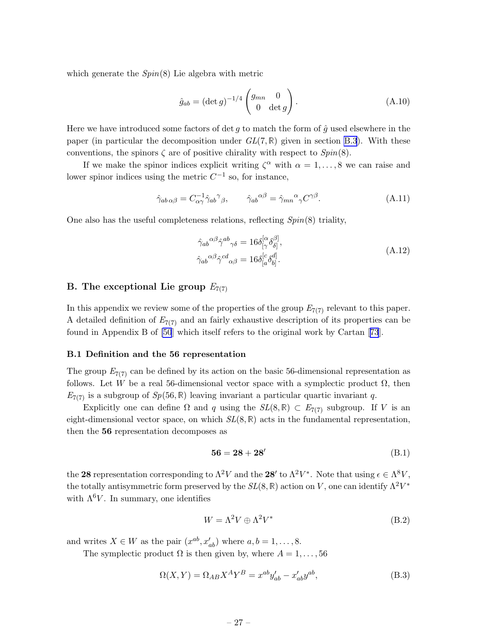<span id="page-27-0"></span>which generate the  $Spin(8)$  Lie algebra with metric

$$
\hat{g}_{ab} = (\det g)^{-1/4} \begin{pmatrix} g_{mn} & 0 \\ 0 & \det g \end{pmatrix}.
$$
 (A.10)

Here we have introduced some factors of det g to match the form of  $\hat{g}$  used elsewhere in the paper (in particular the decomposition under  $GL(7,\mathbb{R})$  given in section [B.3](#page-29-0)). With these conventions, the spinors  $\zeta$  are of positive chirality with respect to  $Spin(8)$ .

If we make the spinor indices explicit writing  $\zeta^{\alpha}$  with  $\alpha = 1, \ldots, 8$  we can raise and lower spinor indices using the metric  $C^{-1}$  so, for instance,

$$
\hat{\gamma}_{ab\,\alpha\beta} = C_{\alpha\gamma}^{-1} \hat{\gamma}_{ab}{}^{\gamma}{}_{\beta}, \qquad \hat{\gamma}_{ab}{}^{\alpha\beta} = \hat{\gamma}_{mn}{}^{\alpha}{}_{\gamma} C^{\gamma\beta}.
$$
\n(A.11)

One also has the useful completeness relations, reflecting Spin(8) triality,

$$
\hat{\gamma}_{ab}{}^{\alpha\beta}\hat{\gamma}^{ab}{}_{\gamma\delta} = 16\delta^{[\alpha}_{[\gamma}\delta^{\beta]}_{\delta]},
$$
\n
$$
\hat{\gamma}_{ab}{}^{\alpha\beta}\hat{\gamma}^{cd}{}_{\alpha\beta} = 16\delta^{[c}_{[a}\delta^{d]}_{b]}.
$$
\n(A.12)

## B. The exceptional Lie group  $E_{7(7)}$

In this appendix we review some of the properties of the group  $E_{7(7)}$  relevant to this paper. A detailed definition of  $E_{7(7)}$  and an fairly exhaustive description of its properties can be found in Appendix B of [\[50](#page-34-0)] which itself refers to the original work by Cartan[[73](#page-35-0)].

#### B.1 Definition and the 56 representation

The group  $E_{7(7)}$  can be defined by its action on the basic 56-dimensional representation as follows. Let W be a real 56-dimensional vector space with a symplectic product  $\Omega$ , then  $E_{7(7)}$  is a subgroup of  $Sp(56, \mathbb{R})$  leaving invariant a particular quartic invariant q.

Explicitly one can define  $\Omega$  and q using the  $SL(8,\mathbb{R}) \subset E_{7(7)}$  subgroup. If V is an eight-dimensional vector space, on which  $SL(8,\mathbb{R})$  acts in the fundamental representation, then the 56 representation decomposes as

$$
56 = 28 + 28'
$$
 (B.1)

the 28 representation corresponding to  $\Lambda^2 V$  and the 28' to  $\Lambda^2 V^*$ . Note that using  $\epsilon \in \Lambda^8 V$ , the totally antisymmetric form preserved by the  $SL(8,\mathbb{R})$  action on V, one can identify  $\Lambda^2 V^*$ with  $\Lambda^6 V$ . In summary, one identifies

$$
W = \Lambda^2 V \oplus \Lambda^2 V^* \tag{B.2}
$$

and writes  $X \in W$  as the pair  $(x^{ab}, x'_{ab})$  where  $a, b = 1, \ldots, 8$ .

The symplectic product  $\Omega$  is then given by, where  $A = 1, \ldots, 56$ 

$$
\Omega(X,Y) = \Omega_{AB} X^A Y^B = x^{ab} y'_{ab} - x'_{ab} y^{ab},\tag{B.3}
$$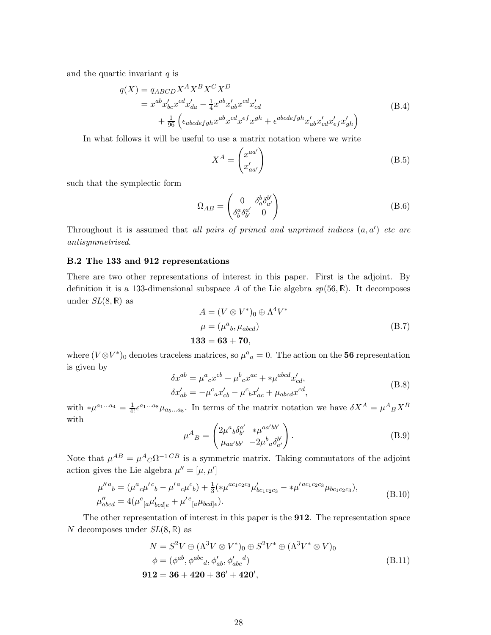<span id="page-28-0"></span>and the quartic invariant  $q$  is

$$
q(X) = q_{ABCD} X^A X^B X^C X^D
$$
  
=  $x^{ab} x'_{bc} x^{cd} x'_{da} - \frac{1}{4} x^{ab} x'_{ab} x^{cd} x'_{cd}$   
+  $\frac{1}{96} \left( \epsilon_{abcdefgh} x^{ab} x^{cd} x^{ef} x^{gh} + \epsilon^{abcdefgh} x'_{ab} x'_{cd} x'_{ef} x'_{gh} \right)$  (B.4)

In what follows it will be useful to use a matrix notation where we write

$$
X^{A} = \begin{pmatrix} x^{aa'} \\ x'_{aa'} \end{pmatrix}
$$
 (B.5)

such that the symplectic form

$$
\Omega_{AB} = \begin{pmatrix} 0 & \delta_a^b \delta_{a'}^{b'} \\ \delta_b^a \delta_{b'}^{a'} & 0 \end{pmatrix}
$$
 (B.6)

Throughout it is assumed that all pairs of primed and unprimed indices  $(a, a')$  etc are antisymmetrised.

## B.2 The 133 and 912 representations

There are two other representations of interest in this paper. First is the adjoint. By definition it is a 133-dimensional subspace A of the Lie algebra  $sp(56, \mathbb{R})$ . It decomposes under  $SL(8,\mathbb{R})$  as

$$
A = (V \otimes V^*)_0 \oplus \Lambda^4 V^*
$$
  
\n
$$
\mu = (\mu^a{}_b, \mu_{abcd})
$$
  
\n133 = 63 + 70, (B.7)

where  $(V \otimes V^*)_0$  denotes traceless matrices, so  $\mu^a{}_a = 0$ . The action on the 56 representation is given by  $\overline{a}$ 

$$
\delta x^{ab} = \mu^{a}{}_{c} x^{cb} + \mu^{b}{}_{c} x^{ac} + *\mu^{abcd} x'_{cd},
$$
  
\n
$$
\delta x'_{ab} = -\mu^{c}{}_{a} x'_{cb} - \mu^{c}{}_{b} x'_{ac} + \mu_{abcd} x^{cd},
$$
\n(B.8)

with  $*\mu^{a_1...a_4} = \frac{1}{4!} \epsilon^{a_1...a_8} \mu_{a_5...a_8}$ . In terms of the matrix notation we have  $\delta X^A = \mu^A{}_B X^B$ with

$$
\mu^{A}{}_{B} = \begin{pmatrix} 2\mu^{a}{}_{b}\delta^{a'}_{b'} & * \mu^{aa'bb'} \\ \mu_{aa'bb'} & -2\mu^{b}{}_{a}\delta^{b'}_{a'} \end{pmatrix} . \tag{B.9}
$$

Note that  $\mu^{AB} = \mu^A{}_C \Omega^{-1}{}^{CB}$  is a symmetric matrix. Taking commutators of the adjoint action gives the Lie algebra  $\mu'' = [\mu, \mu']$ 

$$
\mu''^{a}{}_{b} = (\mu^{a}{}_{c}\mu'^{c}{}_{b} - \mu'^{a}{}_{c}\mu^{c}{}_{b}) + \frac{1}{3}(*\mu^{ac_{1}c_{2}c_{3}}\mu'_{bc_{1}c_{2}c_{3}} - *\mu'^{ac_{1}c_{2}c_{3}}\mu_{bc_{1}c_{2}c_{3}}),
$$
\n
$$
\mu''_{abcd} = 4(\mu^{e}{}_{[a}\mu'_{bcd]e} + \mu'^{e}{}_{[a}\mu_{bcd]e}).
$$
\n(B.10)

The other representation of interest in this paper is the 912. The representation space N decomposes under  $SL(8,\mathbb{R})$  as

$$
N = S2V \oplus (\Lambda3V \otimes V*)0 \oplus S2V* \oplus (\Lambda3V* \otimes V)0\n\phi = (\phiab, \phiabcd, \phi'ab, \phi'abcd)\n912 = 36 + 420 + 36' + 420',
$$
\n(B.11)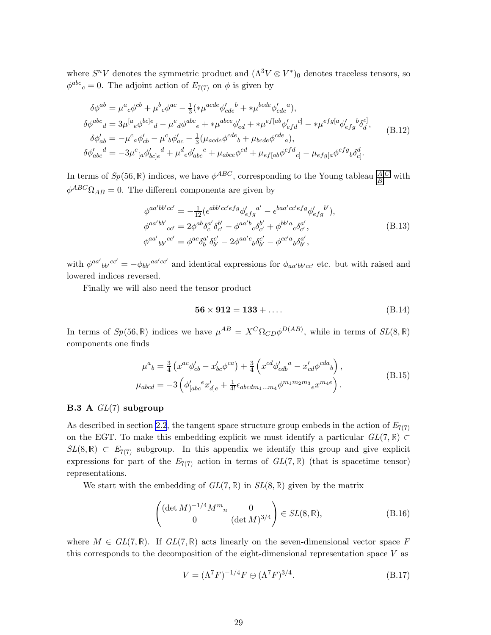<span id="page-29-0"></span>where  $S^nV$  denotes the symmetric product and  $(\Lambda^3V \otimes V^*)_0$  denotes traceless tensors, so  $\phi^{abc}{}_c = 0$ . The adjoint action of  $E_{7(7)}$  on  $\phi$  is given by

$$
\delta\phi^{ab} = \mu^{a}{}_{c}\phi^{cb} + \mu^{b}{}_{c}\phi^{ac} - \frac{1}{3}(*\mu^{acde}\phi'_{cde}^{b} + *\mu^{bcde}\phi'_{cde}^{a}),
$$
  
\n
$$
\delta\phi^{abc}{}_{d} = 3\mu^{[a}{}_{e}\phi^{bc]e}{}_{d} - \mu^{e}{}_{d}\phi^{abc}{}_{e} + *\mu^{abce}\phi'_{ed} + *\mu^{ef[ab}\phi'_{efd}{}^{c]} - *\mu^{efg[a}\phi'_{efg}^{b}\delta^{c]}_{d},
$$
  
\n
$$
\delta\phi'_{ab} = -\mu^{c}{}_{a}\phi'_{cb} - \mu^{c}{}_{b}\phi'_{ac} - \frac{1}{3}(\mu_{acde}\phi^{cde}{}_{b} + \mu_{bcde}\phi^{cde}{}_{a}),
$$
  
\n
$$
\delta\phi'_{abc}{}^{d} = -3\mu^{e}{}_{[a}\phi'_{bc]e}{}^{d} + \mu^{d}{}_{e}\phi'_{abc}{}^{e} + \mu_{abce}\phi^{ed} + \mu_{ef[ab}\phi^{efd}{}_{c]} - \mu_{efg[a}\phi^{efg}{}_{b}\delta^{d}_{c]}.
$$
  
\n(B.12)

In terms of  $Sp(56, \mathbb{R})$  indices, we have  $\phi^{ABC}$ , corresponding to the Young tableau  $\frac{|A|C|}{|B|}$  with  $\phi^{ABC} \Omega_{AB} = 0$ . The different components are given by

$$
\phi^{aa'bb'cc'} = -\frac{1}{12} (\epsilon^{abb'cc'efg} \phi'_{efg}^{a'} - \epsilon^{baa'cc'efg} \phi'_{efg}^{b'}),
$$
  
\n
$$
\phi^{aa'bb'}_{cc'} = 2\phi^{ab} \delta^{a'}_c \delta^{b'}_{c'} - \phi^{aa'b}{}_c \delta^{b'}_{c'} + \phi^{bb'a}{}_c \delta^{a'}_{c'},
$$
  
\n
$$
\phi^{aa'}{}_{bb'}{}^{cc'} = \phi^{ac} \delta^{a'}_b \delta^{c'}_{b'} - 2\phi^{aa'c}{}_b \delta^{c'}_{b'} - \phi^{cc'a}{}_b \delta^{a'}_{b'},
$$
\n(B.13)

with  $\phi^{aa'}_{\phantom{aa'}bb'}c^{c'} = -\phi_{bb'}{}^{aa'cc'}$  and identical expressions for  $\phi_{aa'b'b'cc'}$  etc. but with raised and lowered indices reversed.

Finally we will also need the tensor product

$$
56 \times 912 = 133 + \dots
$$
 (B.14)

In terms of  $Sp(56, \mathbb{R})$  indices we have  $\mu^{AB} = X^C \Omega_{CD} \phi^{D(AB)}$ , while in terms of  $SL(8, \mathbb{R})$ components one finds

$$
\mu^{a}{}_{b} = \frac{3}{4} \left( x^{ac} \phi'_{cb} - x'_{bc} \phi^{ca} \right) + \frac{3}{4} \left( x^{cd} \phi'_{cdb}{}^{a} - x'_{cd} \phi^{cda}{}_{b} \right),
$$
\n
$$
\mu_{abcd} = -3 \left( \phi'_{[abc}{}^{e} x'_{d]e} + \frac{1}{4!} \epsilon_{abcdm_1...m_4} \phi^{m_1 m_2 m_3}{}_{e} x^{m_4 e} \right).
$$
\n(B.15)

#### **B.3** A  $GL(7)$  subgroup

As described in section [2.2](#page-5-0), the tangent space structure group embeds in the action of  $E_{7(7)}$ on the EGT. To make this embedding explicit we must identify a particular  $GL(7,\mathbb{R})\subset$  $SL(8,\mathbb{R}) \subset E_{7(7)}$  subgroup. In this appendix we identify this group and give explicit expressions for part of the  $E_{7(7)}$  action in terms of  $GL(7,\mathbb{R})$  (that is spacetime tensor) representations.

We start with the embedding of  $GL(7,\mathbb{R})$  in  $SL(8,\mathbb{R})$  given by the matrix

$$
\begin{pmatrix}\n(\det M)^{-1/4} M^m{}_n & 0 \\
0 & (\det M)^{3/4}\n\end{pmatrix} \in SL(8, \mathbb{R}),
$$
\n(B.16)

where  $M \in GL(7,\mathbb{R})$ . If  $GL(7,\mathbb{R})$  acts linearly on the seven-dimensional vector space F this corresponds to the decomposition of the eight-dimensional representation space  $V$  as

$$
V = (\Lambda^7 F)^{-1/4} F \oplus (\Lambda^7 F)^{3/4}.
$$
 (B.17)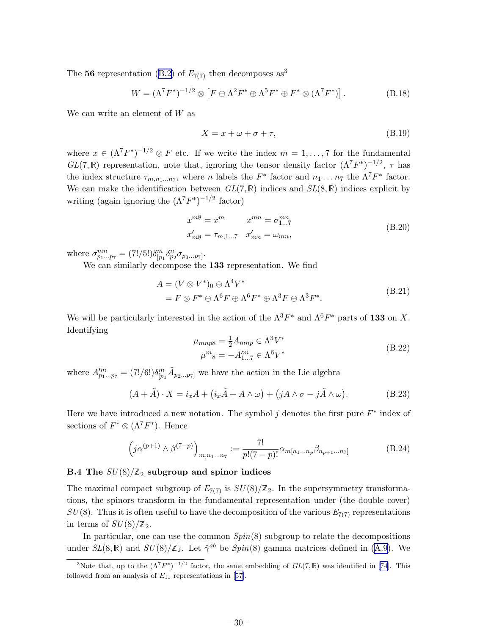<span id="page-30-0"></span>The56 representation ([B.2\)](#page-27-0) of  $E_{7(7)}$  then decomposes as<sup>3</sup>

$$
W = (\Lambda^7 F^*)^{-1/2} \otimes \left[ F \oplus \Lambda^2 F^* \oplus \Lambda^5 F^* \oplus F^* \otimes (\Lambda^7 F^*) \right]. \tag{B.18}
$$

We can write an element of W as

$$
X = x + \omega + \sigma + \tau,\tag{B.19}
$$

where  $x \in (\Lambda^7 F^*)^{-1/2} \otimes F$  etc. If we write the index  $m = 1, \ldots, 7$  for the fundamental  $GL(7,\mathbb{R})$  representation, note that, ignoring the tensor density factor  $(\Lambda^7 F^*)^{-1/2}$ ,  $\tau$  has the index structure  $\tau_{m,n_1...n_7}$ , where n labels the  $F^*$  factor and  $n_1 \ldots n_7$  the  $\Lambda^7 F^*$  factor. We can make the identification between  $GL(7,\mathbb{R})$  indices and  $SL(8,\mathbb{R})$  indices explicit by writing (again ignoring the  $(\Lambda^7 F^*)^{-1/2}$  factor)

$$
x^{m8} = x^m \t x^{mn} = \sigma_{1...7}^{mn}
$$
  
\n
$$
x'_{m8} = \tau_{m,1...7} \t x'_{mn} = \omega_{mn},
$$
  
\n(B.20)

where  $\sigma_{p_1...p_7}^{mn} = (7!/5!) \delta_{[p_1}^m \delta_{p_2}^n \sigma_{p_3...p_7]}$ .

We can similarly decompose the 133 representation. We find

$$
A = (V \otimes V^*)_0 \oplus \Lambda^4 V^* = F \otimes F^* \oplus \Lambda^6 F \oplus \Lambda^6 F^* \oplus \Lambda^3 F \oplus \Lambda^3 F^*.
$$
 (B.21)

We will be particularly interested in the action of the  $\Lambda^3 F^*$  and  $\Lambda^6 F^*$  parts of 133 on X. Identifying

$$
\mu_{mnp8} = \frac{1}{2} A_{mnp} \in \Lambda^3 V^*
$$
\n
$$
\mu^m_8 = -A'^m_{1...7} \in \Lambda^6 V^*
$$
\n(B.22)

where  $A''_{p_1...p_7} = (7!/6!) \delta^m_{[p_1} \tilde{A}_{p_2...p_7]}$  we have the action in the Lie algebra

$$
(A + \tilde{A}) \cdot X = i_x A + (i_x \tilde{A} + A \wedge \omega) + (j A \wedge \sigma - j \tilde{A} \wedge \omega).
$$
 (B.23)

Here we have introduced a new notation. The symbol  $j$  denotes the first pure  $F^*$  index of sections of  $F^* \otimes (\Lambda^7 F^*)$ . Hence

$$
(j\alpha^{(p+1)} \wedge \beta^{(7-p)})_{m,n_1...n_7} := \frac{7!}{p!(7-p)!} \alpha_{m[n_1...n_p} \beta_{n_{p+1}...n_7]}
$$
(B.24)

## B.4 The  $SU(8)/\mathbb{Z}_2$  subgroup and spinor indices

The maximal compact subgroup of  $E_{7(7)}$  is  $SU(8)/\mathbb{Z}_2$ . In the supersymmetry transformations, the spinors transform in the fundamental representation under (the double cover)  $SU(8)$ . Thus it is often useful to have the decomposition of the various  $E_{7(7)}$  representations in terms of  $SU(8)/\mathbb{Z}_2$ .

In particular, one can use the common  $Spin(8)$  subgroup to relate the decompositions under $SL(8,\mathbb{R})$  and  $SU(8)/\mathbb{Z}_2$ . Let  $\hat{\gamma}^{ab}$  be  $Spin(8)$  gamma matrices defined in ([A.9](#page-26-0)). We

<sup>&</sup>lt;sup>3</sup>Note that, up to the  $(\Lambda^7 F^*)^{-1/2}$  factor, the same embedding of  $GL(7,\mathbb{R})$  was identified in [\[74](#page-36-0)]. This followedfrom an analysis of  $E_{11}$  representations in [[57\]](#page-34-0).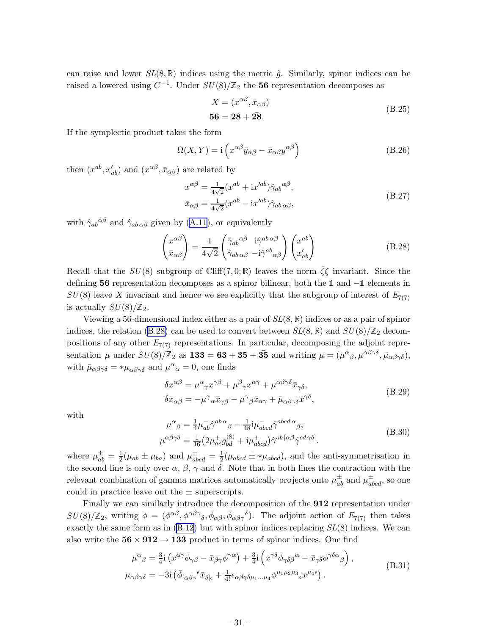<span id="page-31-0"></span>can raise and lower  $SL(8,\mathbb{R})$  indices using the metric  $\hat{g}$ . Similarly, spinor indices can be raised a lowered using  $C^{-1}$ . Under  $SU(8)/\mathbb{Z}_2$  the 56 representation decomposes as

$$
X = (x^{\alpha\beta}, \bar{x}_{\alpha\beta})
$$
  
**56 = 28 + 28.** (B.25)

If the symplectic product takes the form

$$
\Omega(X,Y) = \mathbf{i} \left( x^{\alpha \beta} \bar{y}_{\alpha \beta} - \bar{x}_{\alpha \beta} y^{\alpha \beta} \right) \tag{B.26}
$$

then  $(x^{ab}, x'_{ab})$  and  $(x^{\alpha\beta}, \bar{x}_{\alpha\beta})$  are related by

$$
x^{\alpha\beta} = \frac{1}{4\sqrt{2}} (x^{ab} + ix'^{ab}) \hat{\gamma}_{ab}{}^{\alpha\beta},
$$
  
\n
$$
\bar{x}_{\alpha\beta} = \frac{1}{4\sqrt{2}} (x^{ab} - ix'^{ab}) \hat{\gamma}_{ab \alpha\beta},
$$
\n(B.27)

with  $\hat{\gamma}_{ab}{}^{\alpha\beta}$  and  $\hat{\gamma}_{ab\alpha\beta}$  given by [\(A.11](#page-27-0)), or equivalently

$$
\begin{pmatrix} x^{\alpha\beta} \\ \bar{x}_{\alpha\beta} \end{pmatrix} = \frac{1}{4\sqrt{2}} \begin{pmatrix} \hat{\gamma}_{ab}{}^{\alpha\beta} & i\hat{\gamma}^{ab}{}^{\alpha\beta} \\ \hat{\gamma}_{ab}{}_{\alpha\beta} & -i\hat{\gamma}^{ab}{}_{\alpha\beta} \end{pmatrix} \begin{pmatrix} x^{ab} \\ x'_{ab} \end{pmatrix}
$$
 (B.28)

Recall that the  $SU(8)$  subgroup of Cliff(7,0; R) leaves the norm  $\overline{\zeta}\zeta$  invariant. Since the defining 56 representation decomposes as a spinor bilinear, both the <sup>1</sup> and −<sup>1</sup> elements in  $SU(8)$  leave X invariant and hence we see explicitly that the subgroup of interest of  $E_{7(7)}$ is actually  $SU(8)/\mathbb{Z}_2$ .

Viewing a 56-dimensional index either as a pair of  $SL(8,\mathbb{R})$  indices or as a pair of spinor indices, the relation (B.28) can be used to convert between  $SL(8,\mathbb{R})$  and  $SU(8)/\mathbb{Z}_2$  decompositions of any other  $E_{7(7)}$  representations. In particular, decomposing the adjoint representation  $\mu$  under  $SU(8)/\mathbb{Z}_2$  as  $133 = 63 + 35 + 35$  and writing  $\mu = (\mu^{\alpha}{}_{\beta}, \mu^{\alpha\beta\gamma\delta}, \bar{\mu}_{\alpha\beta\gamma\delta}),$ with  $\bar{\mu}_{\alpha\beta\gamma\delta} = \mu_{\alpha\beta\gamma\delta}$  and  $\mu^{\alpha}{}_{\alpha} = 0$ , one finds

$$
\delta x^{\alpha\beta} = \mu^{\alpha}{}_{\gamma} x^{\gamma\beta} + \mu^{\beta}{}_{\gamma} x^{\alpha\gamma} + \mu^{\alpha\beta\gamma\delta} \bar{x}_{\gamma\delta},
$$
  
\n
$$
\delta \bar{x}_{\alpha\beta} = -\mu^{\gamma}{}_{\alpha} \bar{x}_{\gamma\beta} - \mu^{\gamma}{}_{\beta} \bar{x}_{\alpha\gamma} + \bar{\mu}_{\alpha\beta\gamma\delta} x^{\gamma\delta},
$$
\n(B.29)

with

$$
\mu^{\alpha}{}_{\beta} = \frac{1}{4} \mu_{ab}^{-} \hat{\gamma}^{ab \alpha}{}_{\beta} - \frac{1}{48} i \mu_{abcd}^{-} \hat{\gamma}^{abcd \alpha}{}_{\beta},
$$
\n
$$
\mu^{\alpha\beta\gamma\delta} = \frac{1}{16} \left( 2\mu_{ac}^{+} g_{bd}^{(8)} + i \mu_{abcd}^{+} \right) \hat{\gamma}^{ab} \left[ \alpha^{\beta} \hat{\gamma}^{cd} \gamma^{\delta} \right].
$$
\n(B.30)

where  $\mu_{ab}^{\pm} = \frac{1}{2}$  $\frac{1}{2}(\mu_{ab} \pm \mu_{ba})$  and  $\mu_{abcd}^{\pm} = \frac{1}{2}$  $\frac{1}{2}(\mu_{abcd} \pm *\mu_{abcd})$ , and the anti-symmetrisation in the second line is only over  $\alpha$ ,  $\beta$ ,  $\gamma$  and  $\delta$ . Note that in both lines the contraction with the relevant combination of gamma matrices automatically projects onto  $\mu_{ab}^{\pm}$  and  $\mu_{abcd}^{\pm}$ , so one could in practice leave out the  $\pm$  superscripts.

Finally we can similarly introduce the decomposition of the 912 representation under  $SU(8)/\mathbb{Z}_2$ , writing  $\phi = (\phi^{\alpha\beta}, \phi^{\alpha\beta\gamma}, \bar{\phi}_{\alpha\beta}, \bar{\phi}_{\alpha\beta\gamma})$ . The adjoint action of  $E_{7(7)}$  then takes exactly the same form as in  $(B.12)$  but with spinor indices replacing  $SL(8)$  indices. We can also write the  $56 \times 912 \rightarrow 133$  product in terms of spinor indices. One find

$$
\mu^{\alpha}{}_{\beta} = \frac{3}{4} \mathbf{i} \left( x^{\alpha \gamma} \bar{\phi}_{\gamma \beta} - \bar{x}_{\beta \gamma} \phi^{\gamma \alpha} \right) + \frac{3}{4} \mathbf{i} \left( x^{\gamma \delta} \bar{\phi}_{\gamma \delta \beta}{}^{\alpha} - \bar{x}_{\gamma \delta} \phi^{\gamma \delta \alpha}{}_{\beta} \right),
$$
\n
$$
\mu_{\alpha \beta \gamma \delta} = -3 \mathbf{i} \left( \bar{\phi}_{\left[ \alpha \beta \gamma \right]}{}^{\epsilon} \bar{x}_{\delta}{}_{\left] \epsilon} + \frac{1}{4!} \epsilon_{\alpha \beta \gamma \delta \mu_1 \dots \mu_4} \phi^{\mu_1 \mu_2 \mu_3}{}_{\epsilon} x^{\mu_4 \epsilon} \right).
$$
\n(B.31)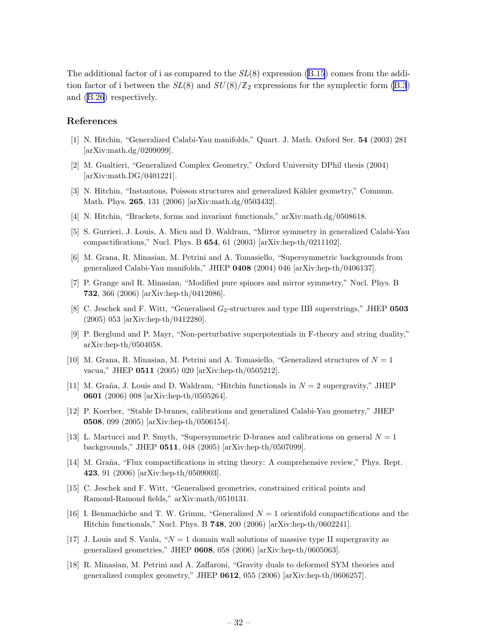<span id="page-32-0"></span>Theadditional factor of i as compared to the  $SL(8)$  expression ([B.15](#page-29-0)) comes from the addition factor of i between the  $SL(8)$  and  $SU(8)/\mathbb{Z}_2$  expressions for the symplectic form [\(B.3](#page-27-0)) and([B.26](#page-31-0)) respectively.

## References

- [1] N. Hitchin, "Generalized Calabi-Yau manifolds," Quart. J. Math. Oxford Ser. 54 (2003) 281 [arXiv:math.dg/0209099].
- [2] M. Gualtieri, "Generalized Complex Geometry," Oxford University DPhil thesis (2004) [arXiv:math.DG/0401221].
- [3] N. Hitchin, "Instantons, Poisson structures and generalized Kähler geometry," Commun. Math. Phys. 265, 131 (2006) [arXiv:math.dg/0503432].
- [4] N. Hitchin, "Brackets, forms and invariant functionals," arXiv:math.dg/0508618.
- [5] S. Gurrieri, J. Louis, A. Micu and D. Waldram, "Mirror symmetry in generalized Calabi-Yau compactifications," Nucl. Phys. B 654, 61 (2003) [arXiv:hep-th/0211102].
- [6] M. Grana, R. Minasian, M. Petrini and A. Tomasiello, "Supersymmetric backgrounds from generalized Calabi-Yau manifolds," JHEP 0408 (2004) 046 [arXiv:hep-th/0406137].
- [7] P. Grange and R. Minasian, "Modified pure spinors and mirror symmetry," Nucl. Phys. B 732, 366 (2006) [arXiv:hep-th/0412086].
- [8] C. Jeschek and F. Witt, "Generalised  $G_2$ -structures and type IIB superstrings," JHEP 0503 (2005) 053 [arXiv:hep-th/0412280].
- [9] P. Berglund and P. Mayr, "Non-perturbative superpotentials in F-theory and string duality," arXiv:hep-th/0504058.
- [10] M. Grana, R. Minasian, M. Petrini and A. Tomasiello, "Generalized structures of  $N = 1$ vacua," JHEP 0511 (2005) 020 [arXiv:hep-th/0505212].
- [11] M. Graña, J. Louis and D. Waldram, "Hitchin functionals in  $N = 2$  supergravity," JHEP 0601 (2006) 008 [arXiv:hep-th/0505264].
- [12] P. Koerber, "Stable D-branes, calibrations and generalized Calabi-Yau geometry," JHEP 0508, 099 (2005) [arXiv:hep-th/0506154].
- [13] L. Martucci and P. Smyth, "Supersymmetric D-branes and calibrations on general  $N = 1$ backgrounds," JHEP 0511, 048 (2005) [arXiv:hep-th/0507099].
- [14] M. Graña, "Flux compactifications in string theory: A comprehensive review," Phys. Rept. 423, 91 (2006) [arXiv:hep-th/0509003].
- [15] C. Jeschek and F. Witt, "Generalised geometries, constrained critical points and Ramond-Ramond fields," arXiv:math/0510131.
- [16] I. Benmachiche and T. W. Grimm, "Generalized  $N = 1$  orientifold compactifications and the Hitchin functionals," Nucl. Phys. B 748, 200 (2006) [arXiv:hep-th/0602241].
- [17] J. Louis and S. Vaula, " $N = 1$  domain wall solutions of massive type II supergravity as generalized geometries," JHEP 0608, 058 (2006) [arXiv:hep-th/0605063].
- [18] R. Minasian, M. Petrini and A. Zaffaroni, "Gravity duals to deformed SYM theories and generalized complex geometry," JHEP 0612, 055 (2006) [arXiv:hep-th/0606257].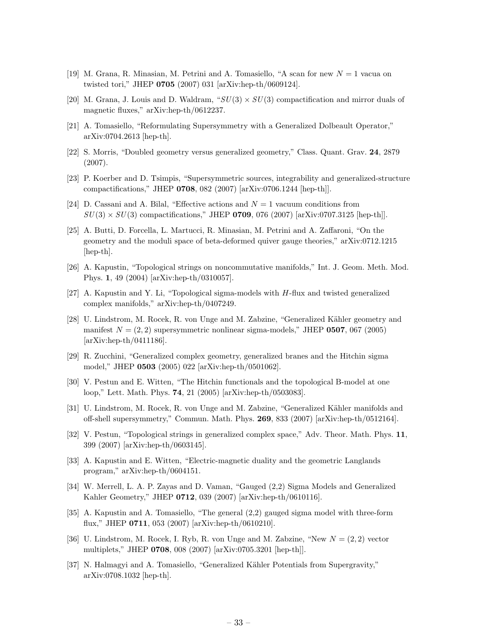- <span id="page-33-0"></span>[19] M. Grana, R. Minasian, M. Petrini and A. Tomasiello, "A scan for new  $N = 1$  vacua on twisted tori," JHEP 0705 (2007) 031 [arXiv:hep-th/0609124].
- [20] M. Grana, J. Louis and D. Waldram, " $SU(3) \times SU(3)$  compactification and mirror duals of magnetic fluxes," arXiv:hep-th/0612237.
- [21] A. Tomasiello, "Reformulating Supersymmetry with a Generalized Dolbeault Operator," arXiv:0704.2613 [hep-th].
- [22] S. Morris, "Doubled geometry versus generalized geometry," Class. Quant. Grav. 24, 2879 (2007).
- [23] P. Koerber and D. Tsimpis, "Supersymmetric sources, integrability and generalized-structure compactifications," JHEP 0708, 082 (2007) [arXiv:0706.1244 [hep-th]].
- [24] D. Cassani and A. Bilal, "Effective actions and  $N = 1$  vacuum conditions from  $SU(3) \times SU(3)$  compactifications," JHEP 0709, 076 (2007) [arXiv:0707.3125 [hep-th]].
- [25] A. Butti, D. Forcella, L. Martucci, R. Minasian, M. Petrini and A. Zaffaroni, "On the geometry and the moduli space of beta-deformed quiver gauge theories," arXiv:0712.1215 [hep-th].
- [26] A. Kapustin, "Topological strings on noncommutative manifolds," Int. J. Geom. Meth. Mod. Phys. 1, 49 (2004) [arXiv:hep-th/0310057].
- [27] A. Kapustin and Y. Li, "Topological sigma-models with H-flux and twisted generalized complex manifolds," arXiv:hep-th/0407249.
- [28] U. Lindstrom, M. Rocek, R. von Unge and M. Zabzine, "Generalized K¨ahler geometry and manifest  $N = (2, 2)$  supersymmetric nonlinear sigma-models," JHEP 0507, 067 (2005)  $arXiv:hep-th/0411186$ .
- [29] R. Zucchini, "Generalized complex geometry, generalized branes and the Hitchin sigma model," JHEP 0503 (2005) 022 [arXiv:hep-th/0501062].
- [30] V. Pestun and E. Witten, "The Hitchin functionals and the topological B-model at one loop," Lett. Math. Phys. 74, 21 (2005) [arXiv:hep-th/0503083].
- [31] U. Lindstrom, M. Rocek, R. von Unge and M. Zabzine, "Generalized K¨ahler manifolds and off-shell supersymmetry," Commun. Math. Phys. 269, 833 (2007) [arXiv:hep-th/0512164].
- [32] V. Pestun, "Topological strings in generalized complex space," Adv. Theor. Math. Phys. 11, 399 (2007) [arXiv:hep-th/0603145].
- [33] A. Kapustin and E. Witten, "Electric-magnetic duality and the geometric Langlands program," arXiv:hep-th/0604151.
- [34] W. Merrell, L. A. P. Zayas and D. Vaman, "Gauged (2,2) Sigma Models and Generalized Kahler Geometry," JHEP 0712, 039 (2007) [arXiv:hep-th/0610116].
- [35] A. Kapustin and A. Tomasiello, "The general (2,2) gauged sigma model with three-form flux," JHEP 0711, 053 (2007) [arXiv:hep-th/0610210].
- [36] U. Lindstrom, M. Rocek, I. Ryb, R. von Unge and M. Zabzine, "New  $N = (2, 2)$  vector multiplets," JHEP 0708, 008 (2007) [arXiv:0705.3201 [hep-th]].
- [37] N. Halmagyi and A. Tomasiello, "Generalized Kähler Potentials from Supergravity," arXiv:0708.1032 [hep-th].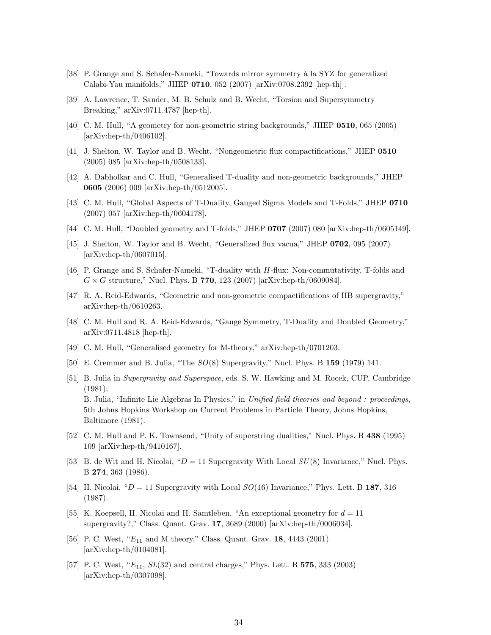- <span id="page-34-0"></span>[38] P. Grange and S. Schafer-Nameki, "Towards mirror symmetry à la SYZ for generalized Calabi-Yau manifolds," JHEP 0710, 052 (2007) [arXiv:0708.2392 [hep-th]].
- [39] A. Lawrence, T. Sander, M. B. Schulz and B. Wecht, "Torsion and Supersymmetry Breaking," arXiv:0711.4787 [hep-th].
- [40] C. M. Hull, "A geometry for non-geometric string backgrounds," JHEP 0510, 065 (2005) [arXiv:hep-th/0406102].
- [41] J. Shelton, W. Taylor and B. Wecht, "Nongeometric flux compactifications," JHEP 0510 (2005) 085 [arXiv:hep-th/0508133].
- [42] A. Dabholkar and C. Hull, "Generalised T-duality and non-geometric backgrounds," JHEP 0605 (2006) 009 [arXiv:hep-th/0512005].
- [43] C. M. Hull, "Global Aspects of T-Duality, Gauged Sigma Models and T-Folds," JHEP 0710 (2007) 057 [arXiv:hep-th/0604178].
- [44] C. M. Hull, "Doubled geometry and T-folds," JHEP 0707 (2007) 080 [arXiv:hep-th/0605149].
- [45] J. Shelton, W. Taylor and B. Wecht, "Generalized flux vacua," JHEP 0702, 095 (2007) [arXiv:hep-th/0607015].
- [46] P. Grange and S. Schafer-Nameki, "T-duality with H-flux: Non-commutativity, T-folds and  $G \times G$  structure," Nucl. Phys. B 770, 123 (2007) [arXiv:hep-th/0609084].
- [47] R. A. Reid-Edwards, "Geometric and non-geometric compactifications of IIB supergravity," arXiv:hep-th/0610263.
- [48] C. M. Hull and R. A. Reid-Edwards, "Gauge Symmetry, T-Duality and Doubled Geometry," arXiv:0711.4818 [hep-th].
- [49] C. M. Hull, "Generalised geometry for M-theory," arXiv:hep-th/0701203.
- [50] E. Cremmer and B. Julia, "The SO(8) Supergravity," Nucl. Phys. B 159 (1979) 141.
- [51] B. Julia in Supergravity and Superspace, eds. S. W. Hawking and M. Rocek, CUP, Cambridge (1981); B. Julia, "Infinite Lie Algebras In Physics," in Unified field theories and beyond : proceedings, 5th Johns Hopkins Workshop on Current Problems in Particle Theory, Johns Hopkins, Baltimore (1981).
- [52] C. M. Hull and P. K. Townsend, "Unity of superstring dualities," Nucl. Phys. B 438 (1995) 109 [arXiv:hep-th/9410167].
- [53] B. de Wit and H. Nicolai, " $D = 11$  Supergravity With Local  $SU(8)$  Invariance," Nucl. Phys. B 274, 363 (1986).
- [54] H. Nicolai, " $D = 11$  Supergravity with Local  $SO(16)$  Invariance," Phys. Lett. B 187, 316 (1987).
- [55] K. Koepsell, H. Nicolai and H. Samtleben, "An exceptional geometry for  $d = 11$ supergravity?," Class. Quant. Grav. 17, 3689 (2000) [arXiv:hep-th/0006034].
- [56] P. C. West, " $E_{11}$  and M theory," Class. Quant. Grav. 18, 4443 (2001) [arXiv:hep-th/0104081].
- [57] P. C. West, " $E_{11}$ ,  $SL(32)$  and central charges," Phys. Lett. B 575, 333 (2003) [arXiv:hep-th/0307098].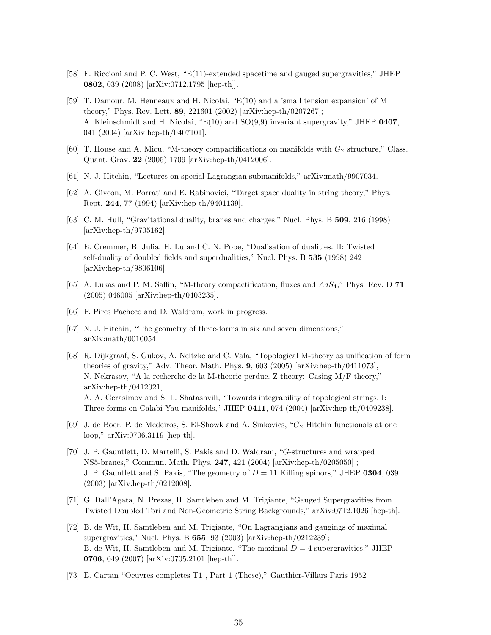- <span id="page-35-0"></span>[58] F. Riccioni and P. C. West, "E(11)-extended spacetime and gauged supergravities," JHEP 0802, 039 (2008) [arXiv:0712.1795 [hep-th]].
- [59] T. Damour, M. Henneaux and H. Nicolai, "E(10) and a 'small tension expansion' of M theory," Phys. Rev. Lett. 89, 221601 (2002) [arXiv:hep-th/0207267]; A. Kleinschmidt and H. Nicolai, " $E(10)$  and  $SO(9,9)$  invariant supergravity," JHEP 0407, 041 (2004) [arXiv:hep-th/0407101].
- [60] T. House and A. Micu, "M-theory compactifications on manifolds with  $G_2$  structure," Class. Quant. Grav. 22 (2005) 1709 [arXiv:hep-th/0412006].
- [61] N. J. Hitchin, "Lectures on special Lagrangian submanifolds," arXiv:math/9907034.
- [62] A. Giveon, M. Porrati and E. Rabinovici, "Target space duality in string theory," Phys. Rept. 244, 77 (1994) [arXiv:hep-th/9401139].
- [63] C. M. Hull, "Gravitational duality, branes and charges," Nucl. Phys. B 509, 216 (1998) [arXiv:hep-th/9705162].
- [64] E. Cremmer, B. Julia, H. Lu and C. N. Pope, "Dualisation of dualities. II: Twisted self-duality of doubled fields and superdualities," Nucl. Phys. B 535 (1998) 242 [arXiv:hep-th/9806106].
- [65] A. Lukas and P. M. Saffin, "M-theory compactification, fluxes and  $AdS_4$ ," Phys. Rev. D 71 (2005) 046005 [arXiv:hep-th/0403235].
- [66] P. Pires Pacheco and D. Waldram, work in progress.
- [67] N. J. Hitchin, "The geometry of three-forms in six and seven dimensions," arXiv:math/0010054.
- [68] R. Dijkgraaf, S. Gukov, A. Neitzke and C. Vafa, "Topological M-theory as unification of form theories of gravity," Adv. Theor. Math. Phys. 9, 603 (2005) [arXiv:hep-th/0411073], N. Nekrasov, "A la recherche de la M-theorie perdue. Z theory: Casing M/F theory," arXiv:hep-th/0412021, A. A. Gerasimov and S. L. Shatashvili, "Towards integrability of topological strings. I: Three-forms on Calabi-Yau manifolds," JHEP 0411, 074 (2004) [arXiv:hep-th/0409238].
- [69] J. de Boer, P. de Medeiros, S. El-Showk and A. Sinkovics, " $G_2$  Hitchin functionals at one loop," arXiv:0706.3119 [hep-th].
- [70] J. P. Gauntlett, D. Martelli, S. Pakis and D. Waldram, "G-structures and wrapped NS5-branes," Commun. Math. Phys. 247, 421 (2004) [arXiv:hep-th/0205050] ; J. P. Gauntlett and S. Pakis, "The geometry of  $D = 11$  Killing spinors," JHEP 0304, 039 (2003) [arXiv:hep-th/0212008].
- [71] G. Dall'Agata, N. Prezas, H. Samtleben and M. Trigiante, "Gauged Supergravities from Twisted Doubled Tori and Non-Geometric String Backgrounds," arXiv:0712.1026 [hep-th].
- [72] B. de Wit, H. Samtleben and M. Trigiante, "On Lagrangians and gaugings of maximal supergravities," Nucl. Phys. B **655**, 93 (2003) [arXiv:hep-th/0212239]; B. de Wit, H. Samtleben and M. Trigiante, "The maximal  $D = 4$  supergravities," JHEP 0706, 049 (2007) [arXiv:0705.2101 [hep-th]].
- [73] E. Cartan "Oeuvres completes T1 , Part 1 (These)," Gauthier-Villars Paris 1952